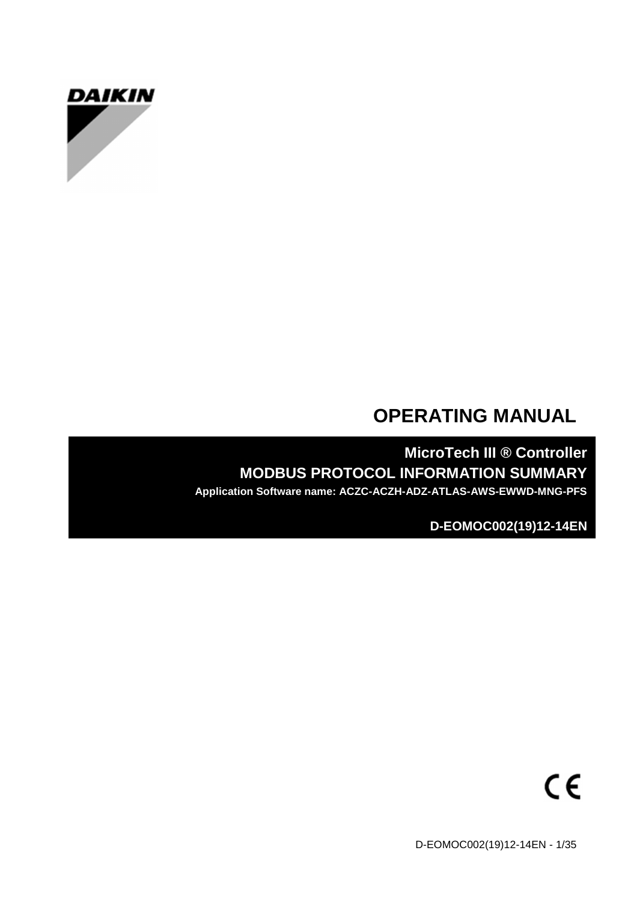

### **OPERATING MANUAL**

**MicroTech III ® Controller MODBUS PROTOCOL INFORMATION SUMMARY Application Software name: ACZC-ACZH-ADZ-ATLAS-AWS-EWWD-MNG-PFS** 

**D-EOMOC002(19)12-14EN** 

 $C \in$ 

D-EOMOC002(19)12-14EN - 1/35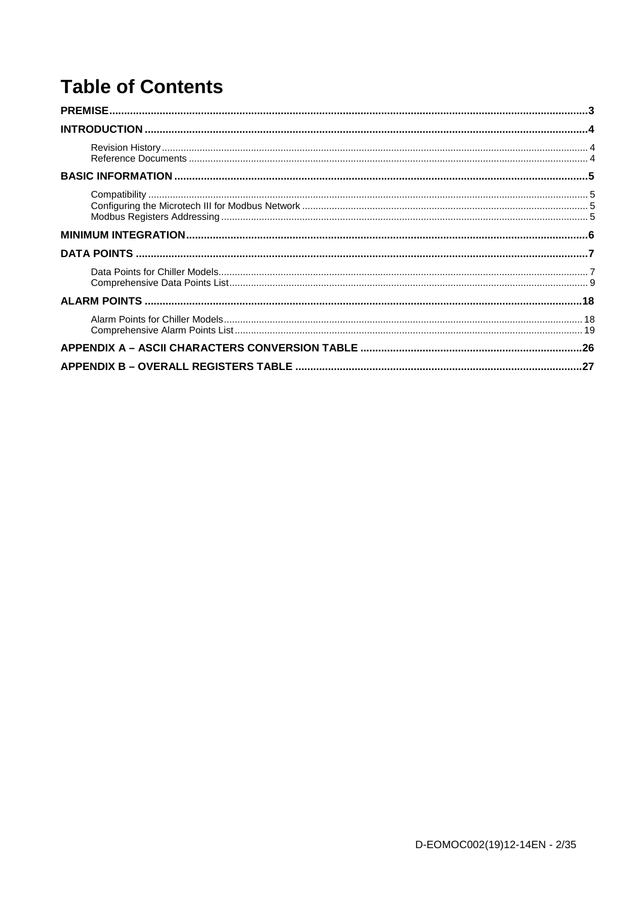## **Table of Contents**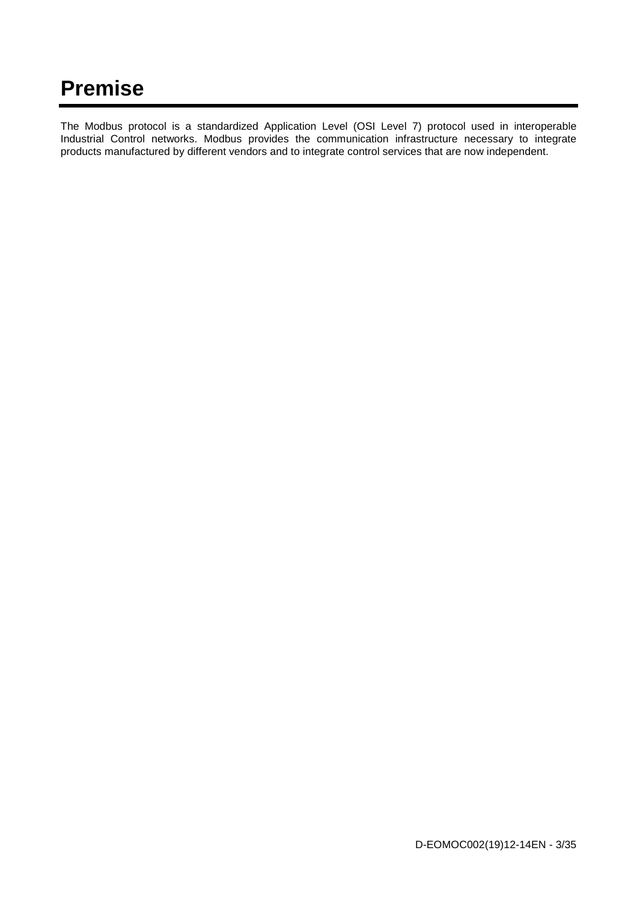The Modbus protocol is a standardized Application Level (OSI Level 7) protocol used in interoperable Industrial Control networks. Modbus provides the communication infrastructure necessary to integrate products manufactured by different vendors and to integrate control services that are now independent.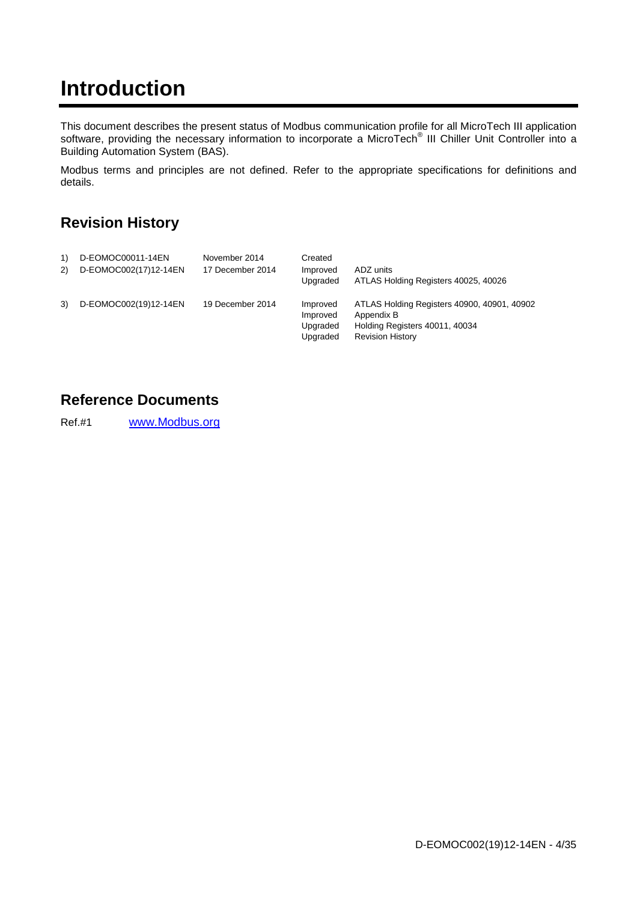## **Introduction**

This document describes the present status of Modbus communication profile for all MicroTech III application software, providing the necessary information to incorporate a MicroTech<sup>®</sup> III Chiller Unit Controller into a Building Automation System (BAS).

Modbus terms and principles are not defined. Refer to the appropriate specifications for definitions and details.

### **Revision History**

| 1)<br>(2) | D-EOMOC00011-14EN<br>D-EOMOC002(17)12-14EN | November 2014<br>17 December 2014 | Created<br>Improved<br>Upgraded              | ADZ units<br>ATLAS Holding Registers 40025, 40026                                                                      |
|-----------|--------------------------------------------|-----------------------------------|----------------------------------------------|------------------------------------------------------------------------------------------------------------------------|
| 3)        | D-EOMOC002(19)12-14EN                      | 19 December 2014                  | Improved<br>Improved<br>Upgraded<br>Upgraded | ATLAS Holding Registers 40900, 40901, 40902<br>Appendix B<br>Holding Registers 40011, 40034<br><b>Revision History</b> |

#### **Reference Documents**

Ref.#1 www.Modbus.org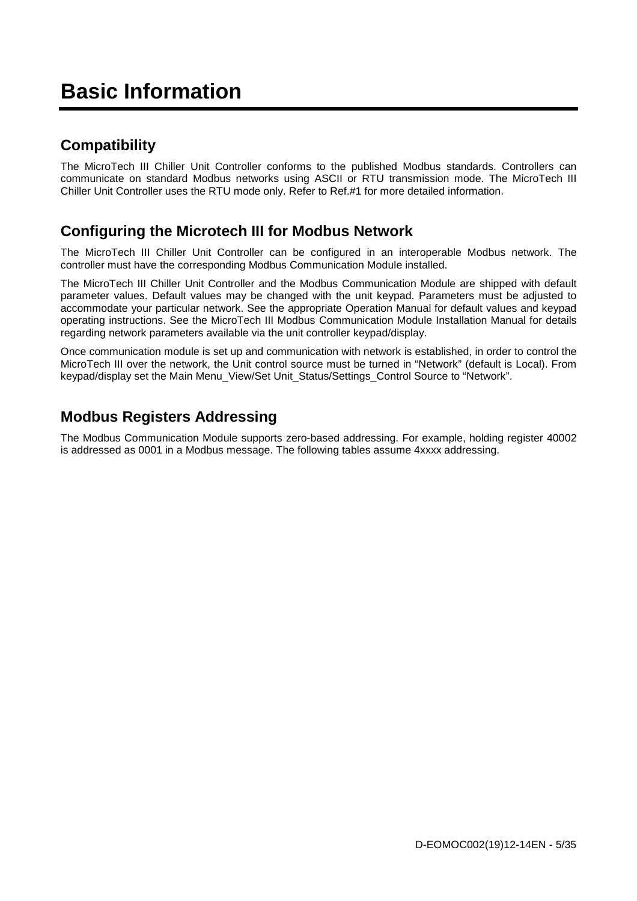### **Compatibility**

The MicroTech III Chiller Unit Controller conforms to the published Modbus standards. Controllers can communicate on standard Modbus networks using ASCII or RTU transmission mode. The MicroTech III Chiller Unit Controller uses the RTU mode only. Refer to Ref.#1 for more detailed information.

#### **Configuring the Microtech III for Modbus Network**

The MicroTech III Chiller Unit Controller can be configured in an interoperable Modbus network. The controller must have the corresponding Modbus Communication Module installed.

The MicroTech III Chiller Unit Controller and the Modbus Communication Module are shipped with default parameter values. Default values may be changed with the unit keypad. Parameters must be adjusted to accommodate your particular network. See the appropriate Operation Manual for default values and keypad operating instructions. See the MicroTech III Modbus Communication Module Installation Manual for details regarding network parameters available via the unit controller keypad/display.

Once communication module is set up and communication with network is established, in order to control the MicroTech III over the network, the Unit control source must be turned in "Network" (default is Local). From keypad/display set the Main Menu\_View/Set Unit\_Status/Settings\_Control Source to "Network".

#### **Modbus Registers Addressing**

The Modbus Communication Module supports zero-based addressing. For example, holding register 40002 is addressed as 0001 in a Modbus message. The following tables assume 4xxxx addressing.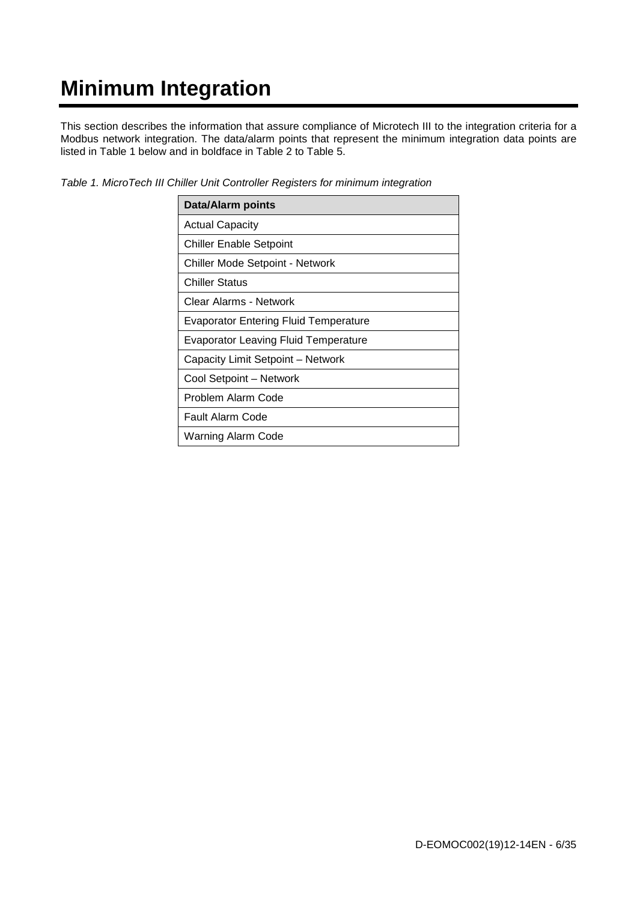# **Minimum Integration**

This section describes the information that assure compliance of Microtech III to the integration criteria for a Modbus network integration. The data/alarm points that represent the minimum integration data points are listed in Table 1 below and in boldface in Table 2 to Table 5.

|  | Table 1. MicroTech III Chiller Unit Controller Registers for minimum integration |  |  |  |  |
|--|----------------------------------------------------------------------------------|--|--|--|--|
|  |                                                                                  |  |  |  |  |

| <b>Data/Alarm points</b>                    |
|---------------------------------------------|
| <b>Actual Capacity</b>                      |
| <b>Chiller Enable Setpoint</b>              |
| Chiller Mode Setpoint - Network             |
| <b>Chiller Status</b>                       |
| Clear Alarms - Network                      |
| Evaporator Entering Fluid Temperature       |
| <b>Evaporator Leaving Fluid Temperature</b> |
| Capacity Limit Setpoint – Network           |
| Cool Setpoint - Network                     |
| Problem Alarm Code                          |
| <b>Fault Alarm Code</b>                     |
| Warning Alarm Code                          |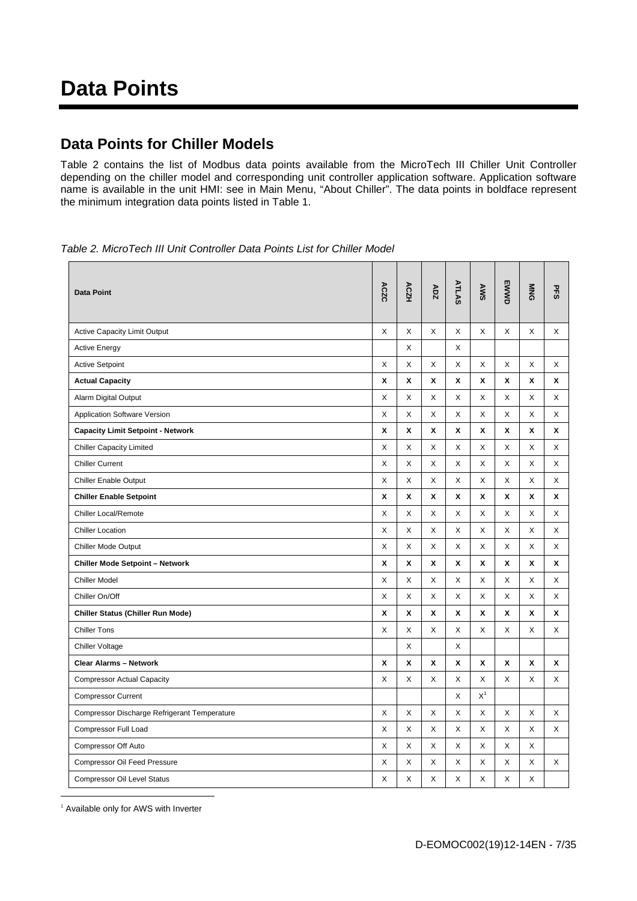#### **Data Points for Chiller Models**

Table 2 contains the list of Modbus data points available from the MicroTech III Chiller Unit Controller depending on the chiller model and corresponding unit controller application software. Application software name is available in the unit HMI: see in Main Menu, "About Chiller". The data points in boldface represent the minimum integration data points listed in Table 1.

| <b>Data Point</b>                            | <b>ACZC</b> | <b>ACZH</b> | <b>ADZ</b> | <b>ATLAS</b> | SMY            | <b>EWWD</b> | <b>MING</b> | <b>PFS</b> |
|----------------------------------------------|-------------|-------------|------------|--------------|----------------|-------------|-------------|------------|
| <b>Active Capacity Limit Output</b>          | X           | X           | X          | X            | X              | X           | X           | X          |
| <b>Active Energy</b>                         |             | X           |            | X            |                |             |             |            |
| <b>Active Setpoint</b>                       | X           | X           | X          | X            | X              | X           | X           | X          |
| <b>Actual Capacity</b>                       | X           | X           | x          | X            | X              | X           | X           | x          |
| Alarm Digital Output                         | X           | X           | X          | X            | X              | X           | X           | X          |
| Application Software Version                 | X           | X           | X          | X            | X              | X           | X           | X          |
| <b>Capacity Limit Setpoint - Network</b>     | X           | X           | x          | X            | X              | X           | X           | X          |
| <b>Chiller Capacity Limited</b>              | X           | X           | X          | X            | X              | X           | X           | X          |
| <b>Chiller Current</b>                       | X           | X           | X          | X            | X              | X           | X           | X          |
| <b>Chiller Enable Output</b>                 | X           | X           | X          | X            | X              | X           | X           | X          |
| <b>Chiller Enable Setpoint</b>               | X           | X           | x          | X            | X              | X           | X           | X          |
| <b>Chiller Local/Remote</b>                  | X           | X           | X          | X            | X              | X           | X           | X          |
| <b>Chiller Location</b>                      | X           | X           | X          | X            | X              | X           | X           | X          |
| <b>Chiller Mode Output</b>                   | X           | X           | X          | X            | X              | X           | X           | X          |
| <b>Chiller Mode Setpoint - Network</b>       | X           | X           | x          | X            | X              | X           | X           | x          |
| <b>Chiller Model</b>                         | X           | X           | X          | X            | X              | X           | X           | X          |
| Chiller On/Off                               | X           | X           | X          | X            | X              | X           | X           | X          |
| <b>Chiller Status (Chiller Run Mode)</b>     | X           | x           | x          | X            | X              | X           | X           | x          |
| <b>Chiller Tons</b>                          | X           | X           | X          | X            | X              | X           | X           | X          |
| Chiller Voltage                              |             | X           |            | X            |                |             |             |            |
| <b>Clear Alarms - Network</b>                | X           | X           | x          | X            | X              | X           | X           | X          |
| <b>Compressor Actual Capacity</b>            | X           | X           | X          | X            | X              | X           | X           | X          |
| <b>Compressor Current</b>                    |             |             |            | X            | $\mathsf{X}^1$ |             |             |            |
| Compressor Discharge Refrigerant Temperature | X           | X           | X          | X            | X              | X           | X           | X          |
| Compressor Full Load                         | X           | X           | X          | X            | X              | X           | X           | X          |
| <b>Compressor Off Auto</b>                   | X           | X           | X          | X            | X              | X           | X           |            |
| Compressor Oil Feed Pressure                 | X           | X           | X          | X            | Χ              | X           | X           | X          |
| <b>Compressor Oil Level Status</b>           | X           | X           | X          | Χ            | X              | X           | X           |            |

Table 2. MicroTech III Unit Controller Data Points List for Chiller Model

<sup>1</sup> Available only for AWS with Inverter

l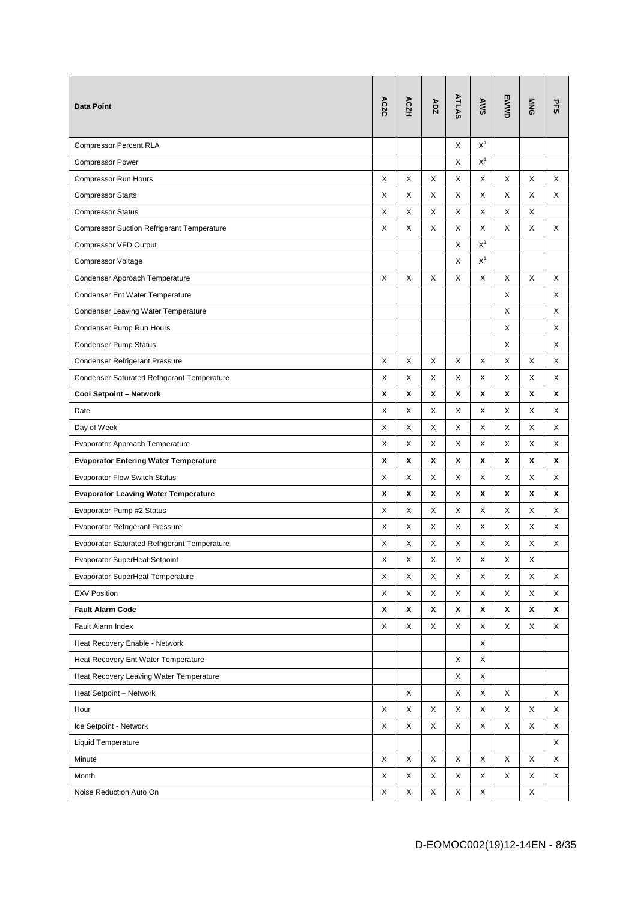| <b>Data Point</b>                                   | <b>ACZC</b>               | <b>ACZH</b> | <b>ADZ</b> | <b>ATLAS</b> | SMY            | <b>EWWD</b> | <b>MNG</b> | <b>HES</b> |
|-----------------------------------------------------|---------------------------|-------------|------------|--------------|----------------|-------------|------------|------------|
| <b>Compressor Percent RLA</b>                       |                           |             |            | X            | $X^1$          |             |            |            |
| <b>Compressor Power</b>                             |                           |             |            | X            | $X^1$          |             |            |            |
| <b>Compressor Run Hours</b>                         | X                         | X           | X          | X            | X              | X           | X          | X          |
| <b>Compressor Starts</b>                            | X                         | X           | X          | X            | X              | X           | X          | X          |
| <b>Compressor Status</b>                            | X                         | X           | X          | X            | X              | X           | X          |            |
| <b>Compressor Suction Refrigerant Temperature</b>   | X                         | X           | X          | X            | X              | X           | X          | X          |
| Compressor VFD Output                               |                           |             |            | X            | $X^1$          |             |            |            |
| Compressor Voltage                                  |                           |             |            | X            | $\mathsf{X}^1$ |             |            |            |
| Condenser Approach Temperature                      | X                         | X           | X          | X            | X              | X           | Χ          | X          |
| Condenser Ent Water Temperature                     |                           |             |            |              |                | X           |            | X          |
| <b>Condenser Leaving Water Temperature</b>          |                           |             |            |              |                | X           |            | X          |
| Condenser Pump Run Hours                            |                           |             |            |              |                | X           |            | X          |
| <b>Condenser Pump Status</b>                        |                           |             |            |              |                | X           |            | X          |
| <b>Condenser Refrigerant Pressure</b>               | X                         | X           | X          | X            | X              | X           | X          | X          |
| <b>Condenser Saturated Refrigerant Temperature</b>  | X                         | X           | Χ          | X            | X              | X           | X          | X          |
| <b>Cool Setpoint - Network</b>                      | X                         | x           | X          | X            | X              | X           | x          | x          |
| Date                                                | X                         | X           | X          | X            | X              | X           | Χ          | X          |
| Day of Week                                         | X                         | X           | X          | X            | X              | X           | X          | X          |
| Evaporator Approach Temperature                     | X                         | X           | X          | X            | X              | X           | Χ          | X          |
| <b>Evaporator Entering Water Temperature</b>        | X                         | x           | X          | X            | X              | X           | x          | x          |
| <b>Evaporator Flow Switch Status</b>                | X                         | X           | X          | X            | X              | X           | Χ          | X          |
| <b>Evaporator Leaving Water Temperature</b>         | X                         | x           | X          | X            | X              | x           | x          | x          |
| Evaporator Pump #2 Status                           | X                         | X           | X          | X            | X              | X           | X          | X          |
| <b>Evaporator Refrigerant Pressure</b>              | X                         | X           | X          | X            | X              | X           | Χ          | X          |
| <b>Evaporator Saturated Refrigerant Temperature</b> | X                         | X           | X          | X            | X              | X           | X          | X          |
| Evaporator SuperHeat Setpoint                       | X                         | X           | X          | X            | X              | X           | X          |            |
| Evaporator SuperHeat Temperature                    | X                         | X           | X          | X            | X              | X           | X          | X          |
| <b>EXV Position</b>                                 | X                         | X           | X          | X            | X              | X           | Χ          | X          |
| <b>Fault Alarm Code</b>                             | X                         | x           | X          | X            | X              | X           | X          | X          |
| Fault Alarm Index                                   | X                         | X           | X          | X            | X              | X           | X          | X          |
| Heat Recovery Enable - Network                      |                           |             |            |              | X              |             |            |            |
| Heat Recovery Ent Water Temperature                 |                           |             |            | X            | X              |             |            |            |
| Heat Recovery Leaving Water Temperature             |                           |             |            | X            | X              |             |            |            |
| Heat Setpoint - Network                             |                           | X           |            | X            | X              | X           |            | X          |
| Hour                                                | X                         | X           | X          | X            | X              | X           | X          | X          |
| Ice Setpoint - Network                              | X                         | X           | X          | X            | X              | X           | X          | X          |
| Liquid Temperature                                  |                           |             |            |              |                |             |            | X          |
| Minute                                              | $\boldsymbol{\mathsf{X}}$ | X           | X          | X            | X              | X           | X          | X          |
| Month                                               | X                         | X           | X          | X            | X              | X           | X          | X          |
| Noise Reduction Auto On                             | X                         | X           | X          | X            | X              |             | X          |            |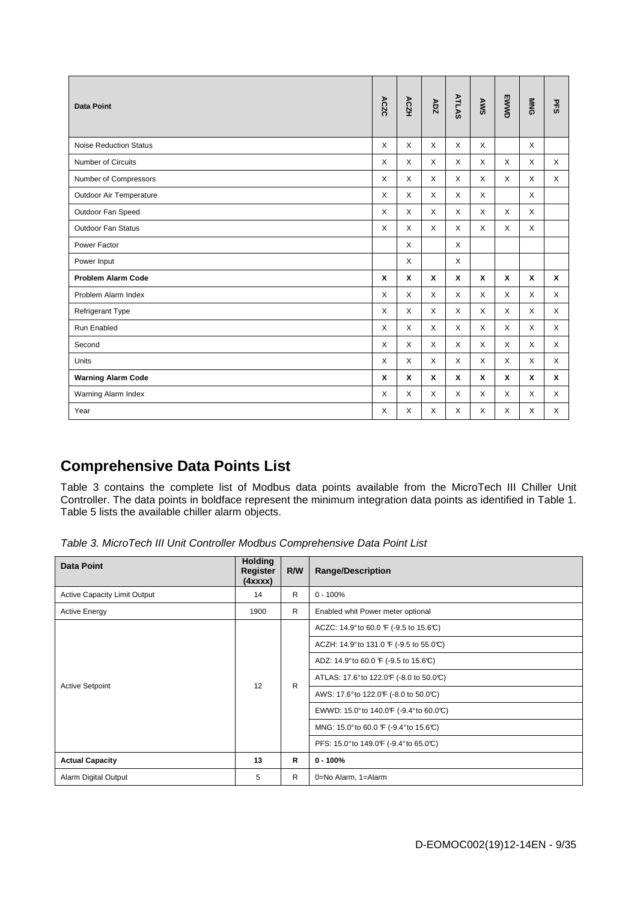| <b>Data Point</b>             | <b>ACZC</b> | <b>ACZH</b> | <b>ADZ</b> | <b>ATLAS</b> | SMY | <b>EWWD</b>  | <b>MNG</b>   | <b>PFS</b>   |
|-------------------------------|-------------|-------------|------------|--------------|-----|--------------|--------------|--------------|
| <b>Noise Reduction Status</b> | X           | X           | X          | X            | X   |              | X            |              |
| <b>Number of Circuits</b>     | X           | X           | X          | X            | X   | X            | X            | $\times$     |
| Number of Compressors         | X           | X           | X          | X            | X   | X            | X            | $\times$     |
| Outdoor Air Temperature       | X           | X           | X          | X            | X   |              | X            |              |
| Outdoor Fan Speed             | X           | X           | X          | X            | X   | X            | $\mathsf{X}$ |              |
| Outdoor Fan Status            | X           | X           | X          | X            | X   | X            | X            |              |
| Power Factor                  |             | X           |            | X            |     |              |              |              |
| Power Input                   |             | X           |            | X            |     |              |              |              |
| <b>Problem Alarm Code</b>     | X           | X           | X          | X            | X   | $\mathbf{x}$ | X            | $\mathbf{x}$ |
| Problem Alarm Index           | X           | X           | X          | X            | X   | X            | X            | X            |
| Refrigerant Type              | X           | X           | X          | X            | X   | X            | X            | $\times$     |
| Run Enabled                   | X           | X           | X          | X            | X   | X            | X            | $\times$     |
| Second                        | X           | X           | X          | X            | X   | X            | X            | $\times$     |
| Units                         | X           | X           | X          | X            | X   | X            | X            | $\times$     |
| <b>Warning Alarm Code</b>     | X           | X           | X          | X            | X   | X            | X            | X            |
| Warning Alarm Index           | X           | X           | X          | X            | X   | X            | $\times$     | $\times$     |
| Year                          | X           | X           | X          | X            | X   | X            | X            | $\times$     |

#### **Comprehensive Data Points List**

Table 3 contains the complete list of Modbus data points available from the MicroTech III Chiller Unit Controller. The data points in boldface represent the minimum integration data points as identified in Table 1. Table 5 lists the available chiller alarm objects.

| <b>Data Point</b>                   | <b>Holding</b><br><b>Register</b><br>(4xxxx) | R/W | <b>Range/Description</b>                  |
|-------------------------------------|----------------------------------------------|-----|-------------------------------------------|
| <b>Active Capacity Limit Output</b> | 14                                           | R   | $0 - 100%$                                |
| <b>Active Energy</b>                | 1900                                         | R   | Enabled whit Power meter optional         |
|                                     |                                              | R   | ACZC: 14.9° to 60.0 F (-9.5 to 15.6°C)    |
|                                     | 12                                           |     | ACZH: 14.9° to 131.0 F (-9.5 to 55.0°C)   |
| <b>Active Setpoint</b>              |                                              |     | ADZ: 14.9°to 60.0 F (-9.5 to 15.6°C)      |
|                                     |                                              |     | ATLAS: 17.6° to 122.0 F (-8.0 to 50.0 °C) |
|                                     |                                              |     | AWS: 17.6° to 122.0 F (-8.0 to 50.0 °C)   |
|                                     |                                              |     | EWWD: 15.0° to 140.0 F (-9.4° to 60.0 °C) |
|                                     |                                              |     | MNG: 15.0° to 60.0 F (-9.4° to 15.6°C)    |
|                                     |                                              |     | PFS: 15.0° to 149.0 F (-9.4° to 65.0 C)   |
| <b>Actual Capacity</b>              | 13                                           | R   | $0 - 100%$                                |
| Alarm Digital Output                | 5                                            | R   | 0=No Alarm, 1=Alarm                       |

Table 3. MicroTech III Unit Controller Modbus Comprehensive Data Point List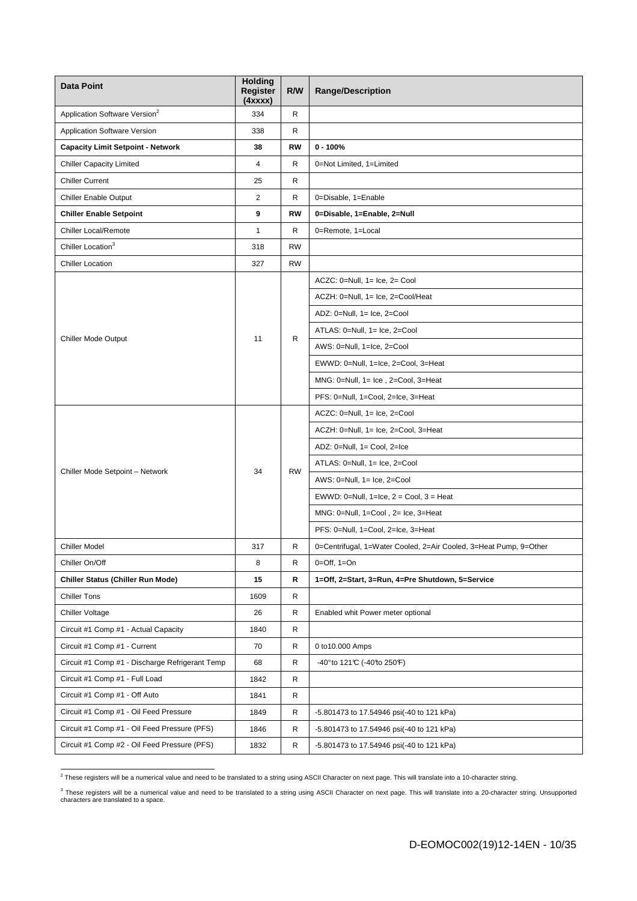| <b>Data Point</b>                               | <b>Holding</b><br>Register<br>(4xxxx) | R/W         | <b>Range/Description</b>                                          |
|-------------------------------------------------|---------------------------------------|-------------|-------------------------------------------------------------------|
| Application Software Version <sup>2</sup>       | 334                                   | R           |                                                                   |
| Application Software Version                    | 338                                   | R           |                                                                   |
| <b>Capacity Limit Setpoint - Network</b>        | 38                                    | RW          | $0 - 100%$                                                        |
| <b>Chiller Capacity Limited</b>                 | 4                                     | R           | 0=Not Limited, 1=Limited                                          |
| <b>Chiller Current</b>                          | 25                                    | R           |                                                                   |
| <b>Chiller Enable Output</b>                    | $\overline{2}$                        | R           | 0=Disable, 1=Enable                                               |
| <b>Chiller Enable Setpoint</b>                  | 9                                     | RW          | 0=Disable, 1=Enable, 2=Null                                       |
| <b>Chiller Local/Remote</b>                     | $\mathbf{1}$                          | R           | 0=Remote, 1=Local                                                 |
| Chiller Location <sup>3</sup>                   | 318                                   | RW          |                                                                   |
| <b>Chiller Location</b>                         | 327                                   | <b>RW</b>   |                                                                   |
|                                                 |                                       |             | $ACZC: 0 = Null$ , $1 = Ice$ , $2 = Cool$                         |
|                                                 |                                       |             | ACZH: 0=Null, 1= Ice, 2=Cool/Heat                                 |
|                                                 |                                       |             | ADZ: $0=Null$ , $1=$ Ice, $2=$ Cool                               |
|                                                 |                                       |             | ATLAS: 0=Null, 1= Ice, 2=Cool                                     |
| <b>Chiller Mode Output</b>                      | 11                                    | R           | AWS: $0=$ Null, $1=$ Ice, $2=$ Cool                               |
|                                                 |                                       |             | EWWD: 0=Null, 1=Ice, 2=Cool, 3=Heat                               |
|                                                 |                                       |             | MNG: $0=$ Null, $1=$ Ice, $2=$ Cool, $3=$ Heat                    |
|                                                 |                                       |             | PFS: 0=Null, 1=Cool, 2=Ice, 3=Heat                                |
|                                                 |                                       | <b>RW</b>   | $ACZC: 0 = Null$ , $1 = Ice$ , $2 = Cool$                         |
|                                                 |                                       |             | ACZH: 0=Null, 1= Ice, 2=Cool, 3=Heat                              |
|                                                 |                                       |             | ADZ: $0=Null$ , $1= Cool$ , $2=lc$ e                              |
|                                                 |                                       |             | ATLAS: 0=Null, 1= Ice, 2=Cool                                     |
| Chiller Mode Setpoint - Network                 | 34                                    |             | AWS: $0=Null$ , $1=$ Ice, $2=$ Cool                               |
|                                                 |                                       |             | EWWD: $0=$ Null, $1=$ Ice, $2=$ Cool, $3=$ Heat                   |
|                                                 |                                       |             | MNG: $0=$ Null, $1=$ Cool, $2=$ Ice, $3=$ Heat                    |
|                                                 |                                       |             | PFS: 0=Null, 1=Cool, 2=Ice, 3=Heat                                |
| <b>Chiller Model</b>                            | 317                                   | R           | 0=Centrifugal, 1=Water Cooled, 2=Air Cooled, 3=Heat Pump, 9=Other |
| Chiller On/Off                                  | 8                                     | R           | $0=Off, 1=On$                                                     |
| <b>Chiller Status (Chiller Run Mode)</b>        | 15                                    | R           | 1=Off, 2=Start, 3=Run, 4=Pre Shutdown, 5=Service                  |
| <b>Chiller Tons</b>                             | 1609                                  | R           |                                                                   |
| <b>Chiller Voltage</b>                          | 26                                    | R           | Enabled whit Power meter optional                                 |
| Circuit #1 Comp #1 - Actual Capacity            | 1840                                  | R           |                                                                   |
| Circuit #1 Comp #1 - Current                    | 70                                    | $\mathsf R$ | 0 to 10.000 Amps                                                  |
| Circuit #1 Comp #1 - Discharge Refrigerant Temp | 68                                    | R           | -40° to 121℃ (-40 to 250 F)                                       |
| Circuit #1 Comp #1 - Full Load                  | 1842                                  | R           |                                                                   |
| Circuit #1 Comp #1 - Off Auto                   | 1841                                  | R           |                                                                   |
| Circuit #1 Comp #1 - Oil Feed Pressure          | 1849                                  | R           | -5.801473 to 17.54946 psi(-40 to 121 kPa)                         |
| Circuit #1 Comp #1 - Oil Feed Pressure (PFS)    | 1846                                  | R           | -5.801473 to 17.54946 psi(-40 to 121 kPa)                         |
| Circuit #1 Comp #2 - Oil Feed Pressure (PFS)    | 1832                                  | R           | -5.801473 to 17.54946 psi(-40 to 121 kPa)                         |

2 These registers will be a numerical value and need to be translated to a string using ASCII Character on next page. This will translate into a 10-character string.

<sup>3</sup> These registers will be a numerical value and need to be translated to a string using ASCII Character on next page. This will translate into a 20-character string. Unsupported<br>characters are translated to a space.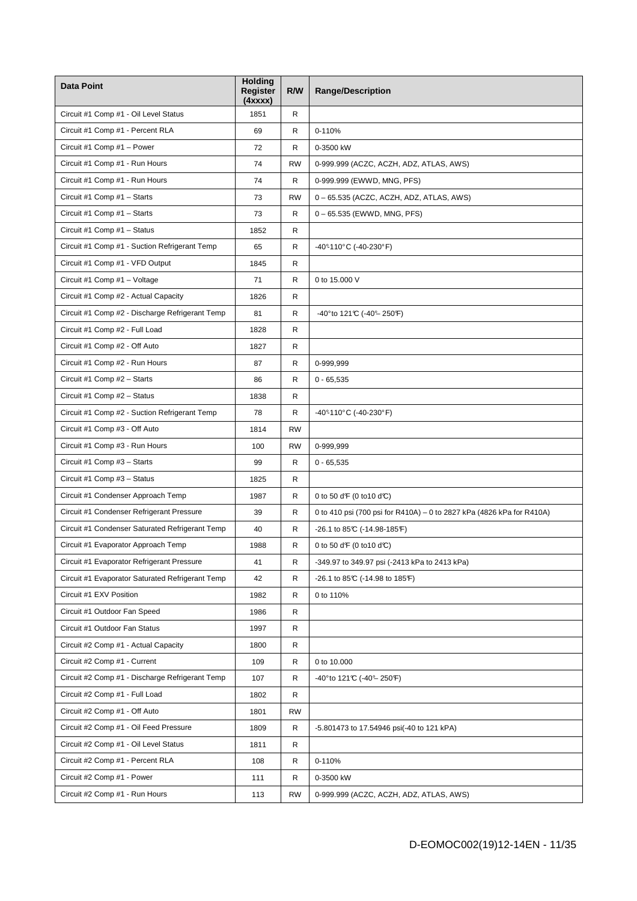| <b>Data Point</b>                                | <b>Holding</b><br><b>Register</b><br>(4xxxx) | R/W       | <b>Range/Description</b>                                              |
|--------------------------------------------------|----------------------------------------------|-----------|-----------------------------------------------------------------------|
| Circuit #1 Comp #1 - Oil Level Status            | 1851                                         | R         |                                                                       |
| Circuit #1 Comp #1 - Percent RLA                 | 69                                           | R         | 0-110%                                                                |
| Circuit #1 Comp #1 - Power                       | 72                                           | R         | 0-3500 kW                                                             |
| Circuit #1 Comp #1 - Run Hours                   | 74                                           | <b>RW</b> | 0-999.999 (ACZC, ACZH, ADZ, ATLAS, AWS)                               |
| Circuit #1 Comp #1 - Run Hours                   | 74                                           | R         | 0-999.999 (EWWD, MNG, PFS)                                            |
| Circuit #1 Comp #1 - Starts                      | 73                                           | <b>RW</b> | 0 - 65.535 (ACZC, ACZH, ADZ, ATLAS, AWS)                              |
| Circuit #1 Comp #1 - Starts                      | 73                                           | R         | 0 - 65.535 (EWWD, MNG, PFS)                                           |
| Circuit #1 Comp #1 - Status                      | 1852                                         | R         |                                                                       |
| Circuit #1 Comp #1 - Suction Refrigerant Temp    | 65                                           | R         | $-40^{\circ}$ 110°C (-40-230°F)                                       |
| Circuit #1 Comp #1 - VFD Output                  | 1845                                         | R         |                                                                       |
| Circuit #1 Comp #1 - Voltage                     | 71                                           | R         | 0 to 15.000 V                                                         |
| Circuit #1 Comp #2 - Actual Capacity             | 1826                                         | R         |                                                                       |
| Circuit #1 Comp #2 - Discharge Refrigerant Temp  | 81                                           | R         | -40°to 121°C (-40° 250°F)                                             |
| Circuit #1 Comp #2 - Full Load                   | 1828                                         | R         |                                                                       |
| Circuit #1 Comp #2 - Off Auto                    | 1827                                         | R         |                                                                       |
| Circuit #1 Comp #2 - Run Hours                   | 87                                           | R         | 0-999,999                                                             |
| Circuit #1 Comp #2 - Starts                      | 86                                           | R         | $0 - 65,535$                                                          |
| Circuit #1 Comp #2 - Status                      | 1838                                         | R         |                                                                       |
| Circuit #1 Comp #2 - Suction Refrigerant Temp    | 78                                           | R         | $-40^{\circ}$ 110°C (-40-230°F)                                       |
| Circuit #1 Comp #3 - Off Auto                    | 1814                                         | <b>RW</b> |                                                                       |
| Circuit #1 Comp #3 - Run Hours                   | 100                                          | <b>RW</b> | 0-999,999                                                             |
| Circuit #1 Comp #3 - Starts                      | 99                                           | R         | $0 - 65,535$                                                          |
| Circuit #1 Comp #3 - Status                      | 1825                                         | R         |                                                                       |
| Circuit #1 Condenser Approach Temp               | 1987                                         | R         | 0 to 50 d\, $F(0)$ to 10 d $C($                                       |
| Circuit #1 Condenser Refrigerant Pressure        | 39                                           | R         | 0 to 410 psi (700 psi for R410A) – 0 to 2827 kPa (4826 kPa for R410A) |
| Circuit #1 Condenser Saturated Refrigerant Temp  | 40                                           | R         | -26.1 to 85°C (-14.98-185°F)                                          |
| Circuit #1 Evaporator Approach Temp              | 1988                                         | R         | 0 to 50 d\, $(0 \text{ to } 10 \text{ d} \text{C})$                   |
| Circuit #1 Evaporator Refrigerant Pressure       | 41                                           | R         | -349.97 to 349.97 psi (-2413 kPa to 2413 kPa)                         |
| Circuit #1 Evaporator Saturated Refrigerant Temp | 42                                           | R         | -26.1 to 85°C (-14.98 to 185°F)                                       |
| Circuit #1 EXV Position                          | 1982                                         | R         | 0 to 110%                                                             |
| Circuit #1 Outdoor Fan Speed                     | 1986                                         | R         |                                                                       |
| Circuit #1 Outdoor Fan Status                    | 1997                                         | R         |                                                                       |
| Circuit #2 Comp #1 - Actual Capacity             | 1800                                         | R         |                                                                       |
| Circuit #2 Comp #1 - Current                     | 109                                          | R         | 0 to 10.000                                                           |
| Circuit #2 Comp #1 - Discharge Refrigerant Temp  | 107                                          | R         | -40° to 121° $C$ (-40° - 250°F)                                       |
| Circuit #2 Comp #1 - Full Load                   | 1802                                         | R         |                                                                       |
| Circuit #2 Comp #1 - Off Auto                    | 1801                                         | <b>RW</b> |                                                                       |
| Circuit #2 Comp #1 - Oil Feed Pressure           | 1809                                         | R         | -5.801473 to 17.54946 psi(-40 to 121 kPA)                             |
| Circuit #2 Comp #1 - Oil Level Status            | 1811                                         | R         |                                                                       |
| Circuit #2 Comp #1 - Percent RLA                 | 108                                          | R         | 0-110%                                                                |
| Circuit #2 Comp #1 - Power                       | 111                                          | R         | 0-3500 kW                                                             |
| Circuit #2 Comp #1 - Run Hours                   | 113                                          | <b>RW</b> | 0-999.999 (ACZC, ACZH, ADZ, ATLAS, AWS)                               |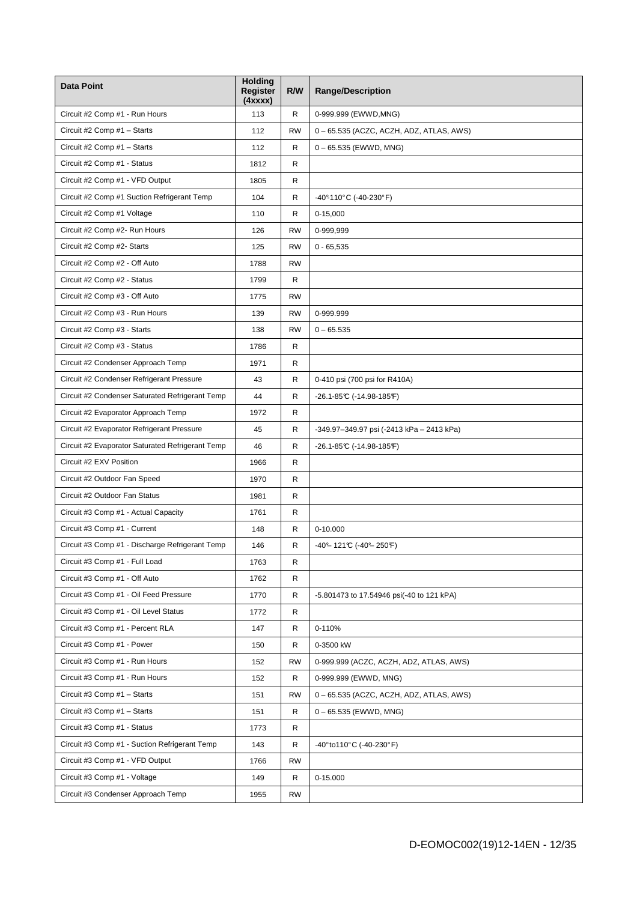| <b>Data Point</b>                                | <b>Holding</b><br><b>Register</b><br>(4xxxx) | R/W       | <b>Range/Description</b>                                |
|--------------------------------------------------|----------------------------------------------|-----------|---------------------------------------------------------|
| Circuit #2 Comp #1 - Run Hours                   | 113                                          | R         | 0-999.999 (EWWD, MNG)                                   |
| Circuit #2 Comp #1 - Starts                      | 112                                          | <b>RW</b> | 0 - 65.535 (ACZC, ACZH, ADZ, ATLAS, AWS)                |
| Circuit #2 Comp #1 - Starts                      | 112                                          | R         | $0 - 65.535$ (EWWD, MNG)                                |
| Circuit #2 Comp #1 - Status                      | 1812                                         | R         |                                                         |
| Circuit #2 Comp #1 - VFD Output                  | 1805                                         | R         |                                                         |
| Circuit #2 Comp #1 Suction Refrigerant Temp      | 104                                          | R         | -40°110°C (-40-230°F)                                   |
| Circuit #2 Comp #1 Voltage                       | 110                                          | R         | $0-15,000$                                              |
| Circuit #2 Comp #2- Run Hours                    | 126                                          | <b>RW</b> | 0-999,999                                               |
| Circuit #2 Comp #2- Starts                       | 125                                          | <b>RW</b> | $0 - 65,535$                                            |
| Circuit #2 Comp #2 - Off Auto                    | 1788                                         | <b>RW</b> |                                                         |
| Circuit #2 Comp #2 - Status                      | 1799                                         | R         |                                                         |
| Circuit #2 Comp #3 - Off Auto                    | 1775                                         | <b>RW</b> |                                                         |
| Circuit #2 Comp #3 - Run Hours                   | 139                                          | <b>RW</b> | 0-999.999                                               |
| Circuit #2 Comp #3 - Starts                      | 138                                          | <b>RW</b> | $0 - 65.535$                                            |
| Circuit #2 Comp #3 - Status                      | 1786                                         | R         |                                                         |
| Circuit #2 Condenser Approach Temp               | 1971                                         | R         |                                                         |
| Circuit #2 Condenser Refrigerant Pressure        | 43                                           | R         | 0-410 psi (700 psi for R410A)                           |
| Circuit #2 Condenser Saturated Refrigerant Temp  | 44                                           | R         | -26.1-85°C (-14.98-185°F)                               |
| Circuit #2 Evaporator Approach Temp              | 1972                                         | R         |                                                         |
| Circuit #2 Evaporator Refrigerant Pressure       | 45                                           | R         | -349.97-349.97 psi (-2413 kPa - 2413 kPa)               |
| Circuit #2 Evaporator Saturated Refrigerant Temp | 46                                           | R         | $-26.1 - 85C$ (-14.98-185F)                             |
| Circuit #2 EXV Position                          | 1966                                         | R         |                                                         |
| Circuit #2 Outdoor Fan Speed                     | 1970                                         | R         |                                                         |
| Circuit #2 Outdoor Fan Status                    | 1981                                         | R         |                                                         |
| Circuit #3 Comp #1 - Actual Capacity             | 1761                                         | R         |                                                         |
| Circuit #3 Comp #1 - Current                     | 148                                          | R         | $0 - 10.000$                                            |
| Circuit #3 Comp #1 - Discharge Refrigerant Temp  | 146                                          | R         | $-40^{\circ}$ 121°C (-40° 250°F)                        |
| Circuit #3 Comp #1 - Full Load                   | 1763                                         | R         |                                                         |
| Circuit #3 Comp #1 - Off Auto                    | 1762                                         | R         |                                                         |
| Circuit #3 Comp #1 - Oil Feed Pressure           | 1770                                         | R         | -5.801473 to 17.54946 psi(-40 to 121 kPA)               |
| Circuit #3 Comp #1 - Oil Level Status            | 1772                                         | R         |                                                         |
| Circuit #3 Comp #1 - Percent RLA                 | 147                                          | R         | 0-110%                                                  |
| Circuit #3 Comp #1 - Power                       | 150                                          | R         | 0-3500 kW                                               |
| Circuit #3 Comp #1 - Run Hours                   | 152                                          | <b>RW</b> | 0-999.999 (ACZC, ACZH, ADZ, ATLAS, AWS)                 |
| Circuit #3 Comp #1 - Run Hours                   | 152                                          | R         | 0-999.999 (EWWD, MNG)                                   |
| Circuit #3 Comp #1 - Starts                      | 151                                          | <b>RW</b> | 0 - 65.535 (ACZC, ACZH, ADZ, ATLAS, AWS)                |
| Circuit #3 Comp #1 - Starts                      | 151                                          | R         | $0 - 65.535$ (EWWD, MNG)                                |
| Circuit #3 Comp #1 - Status                      | 1773                                         | R         |                                                         |
| Circuit #3 Comp #1 - Suction Refrigerant Temp    | 143                                          | R         | $-40^{\circ}$ to110 $^{\circ}$ C (-40-230 $^{\circ}$ F) |
| Circuit #3 Comp #1 - VFD Output                  | 1766                                         | <b>RW</b> |                                                         |
| Circuit #3 Comp #1 - Voltage                     | 149                                          | R         | 0-15.000                                                |
| Circuit #3 Condenser Approach Temp               | 1955                                         | <b>RW</b> |                                                         |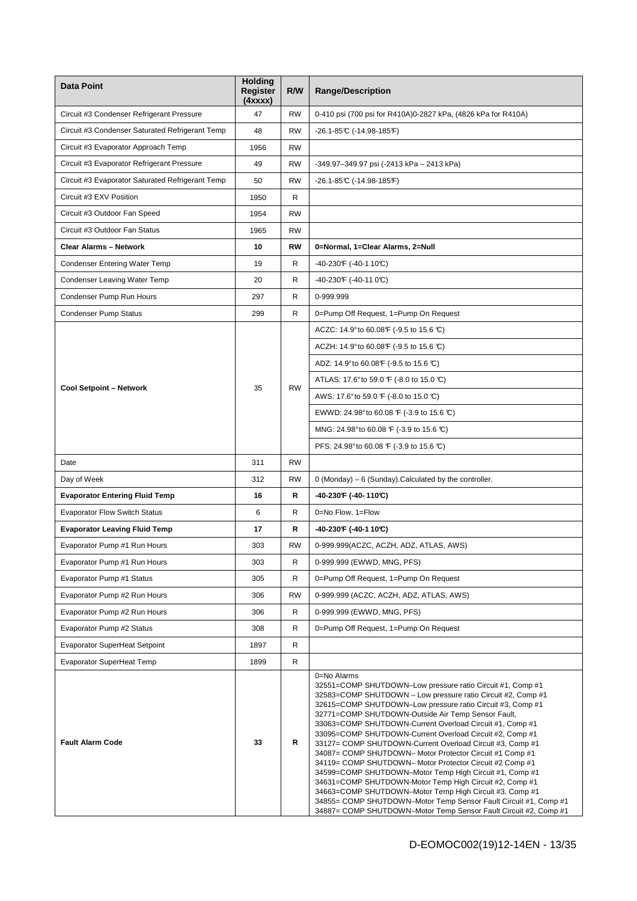| <b>Data Point</b>                                | <b>Holding</b><br><b>Register</b><br>(4xxxx) | R/W       | <b>Range/Description</b>                                                                                                                                                                                                                                                                                                                                                                                                                                                                                                                                                                                                                                                                                                                                                                                                                                                                            |
|--------------------------------------------------|----------------------------------------------|-----------|-----------------------------------------------------------------------------------------------------------------------------------------------------------------------------------------------------------------------------------------------------------------------------------------------------------------------------------------------------------------------------------------------------------------------------------------------------------------------------------------------------------------------------------------------------------------------------------------------------------------------------------------------------------------------------------------------------------------------------------------------------------------------------------------------------------------------------------------------------------------------------------------------------|
| Circuit #3 Condenser Refrigerant Pressure        | 47                                           | <b>RW</b> | 0-410 psi (700 psi for R410A)0-2827 kPa, (4826 kPa for R410A)                                                                                                                                                                                                                                                                                                                                                                                                                                                                                                                                                                                                                                                                                                                                                                                                                                       |
| Circuit #3 Condenser Saturated Refrigerant Temp  | 48                                           | <b>RW</b> | -26.1-85°C (-14.98-185°F)                                                                                                                                                                                                                                                                                                                                                                                                                                                                                                                                                                                                                                                                                                                                                                                                                                                                           |
| Circuit #3 Evaporator Approach Temp              | 1956                                         | <b>RW</b> |                                                                                                                                                                                                                                                                                                                                                                                                                                                                                                                                                                                                                                                                                                                                                                                                                                                                                                     |
| Circuit #3 Evaporator Refrigerant Pressure       | 49                                           | <b>RW</b> | -349.97–349.97 psi (-2413 kPa – 2413 kPa)                                                                                                                                                                                                                                                                                                                                                                                                                                                                                                                                                                                                                                                                                                                                                                                                                                                           |
| Circuit #3 Evaporator Saturated Refrigerant Temp | 50                                           | <b>RW</b> | -26.1-85°C (-14.98-185°F)                                                                                                                                                                                                                                                                                                                                                                                                                                                                                                                                                                                                                                                                                                                                                                                                                                                                           |
| Circuit #3 EXV Position                          | 1950                                         | R         |                                                                                                                                                                                                                                                                                                                                                                                                                                                                                                                                                                                                                                                                                                                                                                                                                                                                                                     |
| Circuit #3 Outdoor Fan Speed                     | 1954                                         | <b>RW</b> |                                                                                                                                                                                                                                                                                                                                                                                                                                                                                                                                                                                                                                                                                                                                                                                                                                                                                                     |
| Circuit #3 Outdoor Fan Status                    | 1965                                         | <b>RW</b> |                                                                                                                                                                                                                                                                                                                                                                                                                                                                                                                                                                                                                                                                                                                                                                                                                                                                                                     |
| <b>Clear Alarms - Network</b>                    | 10                                           | RW        | 0=Normal, 1=Clear Alarms, 2=Null                                                                                                                                                                                                                                                                                                                                                                                                                                                                                                                                                                                                                                                                                                                                                                                                                                                                    |
| Condenser Entering Water Temp                    | 19                                           | R         | $-40-230$ F (-40-110°C)                                                                                                                                                                                                                                                                                                                                                                                                                                                                                                                                                                                                                                                                                                                                                                                                                                                                             |
| Condenser Leaving Water Temp                     | 20                                           | R         | -40-230 F (-40-11 0 °C)                                                                                                                                                                                                                                                                                                                                                                                                                                                                                                                                                                                                                                                                                                                                                                                                                                                                             |
| Condenser Pump Run Hours                         | 297                                          | R         | 0-999.999                                                                                                                                                                                                                                                                                                                                                                                                                                                                                                                                                                                                                                                                                                                                                                                                                                                                                           |
| <b>Condenser Pump Status</b>                     | 299                                          | R         | 0=Pump Off Request, 1=Pump On Request                                                                                                                                                                                                                                                                                                                                                                                                                                                                                                                                                                                                                                                                                                                                                                                                                                                               |
|                                                  |                                              |           | $ACZC: 14.9^{\circ}$ to 60.08 F (-9.5 to 15.6 °C)                                                                                                                                                                                                                                                                                                                                                                                                                                                                                                                                                                                                                                                                                                                                                                                                                                                   |
|                                                  |                                              |           | ACZH: 14.9° to 60.08 F (-9.5 to 15.6 °C)                                                                                                                                                                                                                                                                                                                                                                                                                                                                                                                                                                                                                                                                                                                                                                                                                                                            |
|                                                  |                                              |           | ADZ: 14.9° to 60.08 F (-9.5 to 15.6 °C)                                                                                                                                                                                                                                                                                                                                                                                                                                                                                                                                                                                                                                                                                                                                                                                                                                                             |
|                                                  |                                              |           | ATLAS: 17.6° to 59.0 ℃ (-8.0 to 15.0 ℃)                                                                                                                                                                                                                                                                                                                                                                                                                                                                                                                                                                                                                                                                                                                                                                                                                                                             |
| <b>Cool Setpoint - Network</b>                   | 35                                           | <b>RW</b> | AWS: 17.6° to 59.0 $\mathsf{F}$ (-8.0 to 15.0 °C)                                                                                                                                                                                                                                                                                                                                                                                                                                                                                                                                                                                                                                                                                                                                                                                                                                                   |
|                                                  |                                              |           | EWWD: 24.98° to 60.08 $\mathsf{F}$ (-3.9 to 15.6 °C)                                                                                                                                                                                                                                                                                                                                                                                                                                                                                                                                                                                                                                                                                                                                                                                                                                                |
|                                                  |                                              |           | MNG: 24.98° to 60.08 $\mathsf{F}$ (-3.9 to 15.6 °C)                                                                                                                                                                                                                                                                                                                                                                                                                                                                                                                                                                                                                                                                                                                                                                                                                                                 |
|                                                  |                                              |           | PFS: 24.98° to 60.08 F (-3.9 to 15.6 °C)                                                                                                                                                                                                                                                                                                                                                                                                                                                                                                                                                                                                                                                                                                                                                                                                                                                            |
| Date                                             | 311                                          | <b>RW</b> |                                                                                                                                                                                                                                                                                                                                                                                                                                                                                                                                                                                                                                                                                                                                                                                                                                                                                                     |
| Day of Week                                      | 312                                          | <b>RW</b> | 0 (Monday) – 6 (Sunday). Calculated by the controller.                                                                                                                                                                                                                                                                                                                                                                                                                                                                                                                                                                                                                                                                                                                                                                                                                                              |
| <b>Evaporator Entering Fluid Temp</b>            | 16                                           | R         | -40-230 F (-40-110 °C)                                                                                                                                                                                                                                                                                                                                                                                                                                                                                                                                                                                                                                                                                                                                                                                                                                                                              |
| <b>Evaporator Flow Switch Status</b>             | 6                                            | R         | 0=No Flow, 1=Flow                                                                                                                                                                                                                                                                                                                                                                                                                                                                                                                                                                                                                                                                                                                                                                                                                                                                                   |
| <b>Evaporator Leaving Fluid Temp</b>             | 17                                           | R         | -40-230F (-40-1 10℃)                                                                                                                                                                                                                                                                                                                                                                                                                                                                                                                                                                                                                                                                                                                                                                                                                                                                                |
| Evaporator Pump #1 Run Hours                     | 303                                          | <b>RW</b> | 0-999.999(ACZC, ACZH, ADZ, ATLAS, AWS)                                                                                                                                                                                                                                                                                                                                                                                                                                                                                                                                                                                                                                                                                                                                                                                                                                                              |
| Evaporator Pump #1 Run Hours                     | 303                                          | R         | 0-999.999 (EWWD, MNG, PFS)                                                                                                                                                                                                                                                                                                                                                                                                                                                                                                                                                                                                                                                                                                                                                                                                                                                                          |
| Evaporator Pump #1 Status                        | 305                                          | R         | 0=Pump Off Request, 1=Pump On Request                                                                                                                                                                                                                                                                                                                                                                                                                                                                                                                                                                                                                                                                                                                                                                                                                                                               |
| Evaporator Pump #2 Run Hours                     | 306                                          | <b>RW</b> | 0-999.999 (ACZC, ACZH, ADZ, ATLAS, AWS)                                                                                                                                                                                                                                                                                                                                                                                                                                                                                                                                                                                                                                                                                                                                                                                                                                                             |
| Evaporator Pump #2 Run Hours                     | 306                                          | R         | 0-999.999 (EWWD, MNG, PFS)                                                                                                                                                                                                                                                                                                                                                                                                                                                                                                                                                                                                                                                                                                                                                                                                                                                                          |
| Evaporator Pump #2 Status                        | 308                                          | R         | 0=Pump Off Request, 1=Pump On Request                                                                                                                                                                                                                                                                                                                                                                                                                                                                                                                                                                                                                                                                                                                                                                                                                                                               |
| Evaporator SuperHeat Setpoint                    | 1897                                         | R         |                                                                                                                                                                                                                                                                                                                                                                                                                                                                                                                                                                                                                                                                                                                                                                                                                                                                                                     |
| <b>Evaporator SuperHeat Temp</b>                 | 1899                                         | R         |                                                                                                                                                                                                                                                                                                                                                                                                                                                                                                                                                                                                                                                                                                                                                                                                                                                                                                     |
| <b>Fault Alarm Code</b>                          | 33                                           | R         | 0=No Alarms<br>32551=COMP SHUTDOWN-Low pressure ratio Circuit #1, Comp #1<br>32583=COMP SHUTDOWN - Low pressure ratio Circuit #2, Comp #1<br>32615=COMP SHUTDOWN-Low pressure ratio Circuit #3, Comp #1<br>32771=COMP SHUTDOWN-Outside Air Temp Sensor Fault,<br>33063=COMP SHUTDOWN-Current Overload Circuit #1, Comp #1<br>33095=COMP SHUTDOWN-Current Overload Circuit #2, Comp #1<br>33127= COMP SHUTDOWN-Current Overload Circuit #3, Comp #1<br>34087= COMP SHUTDOWN- Motor Protector Circuit #1 Comp #1<br>34119= COMP SHUTDOWN- Motor Protector Circuit #2 Comp #1<br>34599=COMP SHUTDOWN-Motor Temp High Circuit #1, Comp #1<br>34631=COMP SHUTDOWN-Motor Temp High Circuit #2, Comp #1<br>34663=COMP SHUTDOWN-Motor Temp High Circuit #3, Comp #1<br>34855= COMP SHUTDOWN-Motor Temp Sensor Fault Circuit #1, Comp #1<br>34887= COMP SHUTDOWN-Motor Temp Sensor Fault Circuit #2, Comp #1 |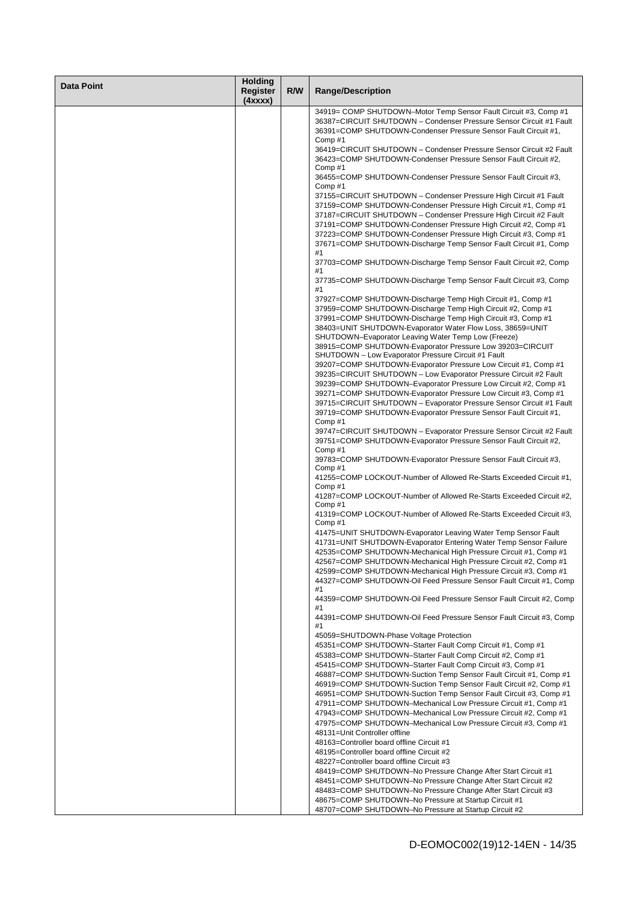| <b>Data Point</b> | <b>Holding</b><br><b>Register</b><br>(4xxxx) | R/W | <b>Range/Description</b>                                                                                                                                                                                  |
|-------------------|----------------------------------------------|-----|-----------------------------------------------------------------------------------------------------------------------------------------------------------------------------------------------------------|
|                   |                                              |     | 34919= COMP SHUTDOWN-Motor Temp Sensor Fault Circuit #3, Comp #1                                                                                                                                          |
|                   |                                              |     | 36387=CIRCUIT SHUTDOWN - Condenser Pressure Sensor Circuit #1 Fault<br>36391=COMP SHUTDOWN-Condenser Pressure Sensor Fault Circuit #1,<br>Comp#1                                                          |
|                   |                                              |     | 36419=CIRCUIT SHUTDOWN - Condenser Pressure Sensor Circuit #2 Fault<br>36423=COMP SHUTDOWN-Condenser Pressure Sensor Fault Circuit #2,                                                                    |
|                   |                                              |     | Comp#1<br>36455=COMP SHUTDOWN-Condenser Pressure Sensor Fault Circuit #3,<br>Comp #1                                                                                                                      |
|                   |                                              |     | 37155=CIRCUIT SHUTDOWN - Condenser Pressure High Circuit #1 Fault<br>37159=COMP SHUTDOWN-Condenser Pressure High Circuit #1, Comp #1                                                                      |
|                   |                                              |     | 37187=CIRCUIT SHUTDOWN - Condenser Pressure High Circuit #2 Fault<br>37191=COMP SHUTDOWN-Condenser Pressure High Circuit #2, Comp #1<br>37223=COMP SHUTDOWN-Condenser Pressure High Circuit #3, Comp #1   |
|                   |                                              |     | 37671=COMP SHUTDOWN-Discharge Temp Sensor Fault Circuit #1, Comp<br>#1                                                                                                                                    |
|                   |                                              |     | 37703=COMP SHUTDOWN-Discharge Temp Sensor Fault Circuit #2, Comp<br>#1<br>37735=COMP SHUTDOWN-Discharge Temp Sensor Fault Circuit #3, Comp                                                                |
|                   |                                              |     | #1<br>37927=COMP SHUTDOWN-Discharge Temp High Circuit #1, Comp #1                                                                                                                                         |
|                   |                                              |     | 37959=COMP SHUTDOWN-Discharge Temp High Circuit #2, Comp #1<br>37991=COMP SHUTDOWN-Discharge Temp High Circuit #3, Comp #1                                                                                |
|                   |                                              |     | 38403=UNIT SHUTDOWN-Evaporator Water Flow Loss, 38659=UNIT<br>SHUTDOWN-Evaporator Leaving Water Temp Low (Freeze)                                                                                         |
|                   |                                              |     | 38915=COMP SHUTDOWN-Evaporator Pressure Low 39203=CIRCUIT<br>SHUTDOWN - Low Evaporator Pressure Circuit #1 Fault<br>39207=COMP SHUTDOWN-Evaporator Pressure Low Circuit #1, Comp #1                       |
|                   |                                              |     | 39235=CIRCUIT SHUTDOWN - Low Evaporator Pressure Circuit #2 Fault                                                                                                                                         |
|                   |                                              |     | 39239=COMP SHUTDOWN-Evaporator Pressure Low Circuit #2, Comp #1                                                                                                                                           |
|                   |                                              |     | 39271=COMP SHUTDOWN-Evaporator Pressure Low Circuit #3, Comp #1                                                                                                                                           |
|                   |                                              |     | 39715=CIRCUIT SHUTDOWN - Evaporator Pressure Sensor Circuit #1 Fault<br>39719=COMP SHUTDOWN-Evaporator Pressure Sensor Fault Circuit #1,                                                                  |
|                   |                                              |     | Comp#1                                                                                                                                                                                                    |
|                   |                                              |     | 39747=CIRCUIT SHUTDOWN - Evaporator Pressure Sensor Circuit #2 Fault                                                                                                                                      |
|                   |                                              |     | 39751=COMP SHUTDOWN-Evaporator Pressure Sensor Fault Circuit #2,<br>Comp#1                                                                                                                                |
|                   |                                              |     | 39783=COMP SHUTDOWN-Evaporator Pressure Sensor Fault Circuit #3,<br>Comp #1<br>41255=COMP LOCKOUT-Number of Allowed Re-Starts Exceeded Circuit #1,                                                        |
|                   |                                              |     | Comp#1<br>41287=COMP LOCKOUT-Number of Allowed Re-Starts Exceeded Circuit #2,                                                                                                                             |
|                   |                                              |     | Comp#1<br>41319=COMP LOCKOUT-Number of Allowed Re-Starts Exceeded Circuit #3,                                                                                                                             |
|                   |                                              |     | Comp#1<br>41475=UNIT SHUTDOWN-Evaporator Leaving Water Temp Sensor Fault                                                                                                                                  |
|                   |                                              |     | 41731=UNIT SHUTDOWN-Evaporator Entering Water Temp Sensor Failure<br>42535=COMP SHUTDOWN-Mechanical High Pressure Circuit #1, Comp #1<br>42567=COMP SHUTDOWN-Mechanical High Pressure Circuit #2, Comp #1 |
|                   |                                              |     | 42599=COMP SHUTDOWN-Mechanical High Pressure Circuit #3, Comp #1<br>44327=COMP SHUTDOWN-Oil Feed Pressure Sensor Fault Circuit #1, Comp                                                                   |
|                   |                                              |     | #1<br>44359=COMP SHUTDOWN-Oil Feed Pressure Sensor Fault Circuit #2, Comp                                                                                                                                 |
|                   |                                              |     | #1<br>44391=COMP SHUTDOWN-Oil Feed Pressure Sensor Fault Circuit #3, Comp<br>#1                                                                                                                           |
|                   |                                              |     | 45059=SHUTDOWN-Phase Voltage Protection<br>45351=COMP SHUTDOWN-Starter Fault Comp Circuit #1, Comp #1                                                                                                     |
|                   |                                              |     | 45383=COMP SHUTDOWN-Starter Fault Comp Circuit #2, Comp #1                                                                                                                                                |
|                   |                                              |     | 45415=COMP SHUTDOWN-Starter Fault Comp Circuit #3, Comp #1                                                                                                                                                |
|                   |                                              |     | 46887=COMP SHUTDOWN-Suction Temp Sensor Fault Circuit #1, Comp #1<br>46919=COMP SHUTDOWN-Suction Temp Sensor Fault Circuit #2, Comp #1                                                                    |
|                   |                                              |     | 46951=COMP SHUTDOWN-Suction Temp Sensor Fault Circuit #3, Comp #1                                                                                                                                         |
|                   |                                              |     | 47911=COMP SHUTDOWN-Mechanical Low Pressure Circuit #1, Comp #1                                                                                                                                           |
|                   |                                              |     | 47943=COMP SHUTDOWN-Mechanical Low Pressure Circuit #2, Comp #1<br>47975=COMP SHUTDOWN-Mechanical Low Pressure Circuit #3, Comp #1                                                                        |
|                   |                                              |     | 48131=Unit Controller offline                                                                                                                                                                             |
|                   |                                              |     | 48163=Controller board offline Circuit #1<br>48195=Controller board offline Circuit #2                                                                                                                    |
|                   |                                              |     | 48227=Controller board offline Circuit #3                                                                                                                                                                 |
|                   |                                              |     | 48419=COMP SHUTDOWN-No Pressure Change After Start Circuit #1                                                                                                                                             |
|                   |                                              |     | 48451=COMP SHUTDOWN-No Pressure Change After Start Circuit #2                                                                                                                                             |
|                   |                                              |     | 48483=COMP SHUTDOWN-No Pressure Change After Start Circuit #3                                                                                                                                             |
|                   |                                              |     | 48675=COMP SHUTDOWN-No Pressure at Startup Circuit #1<br>48707=COMP SHUTDOWN-No Pressure at Startup Circuit #2                                                                                            |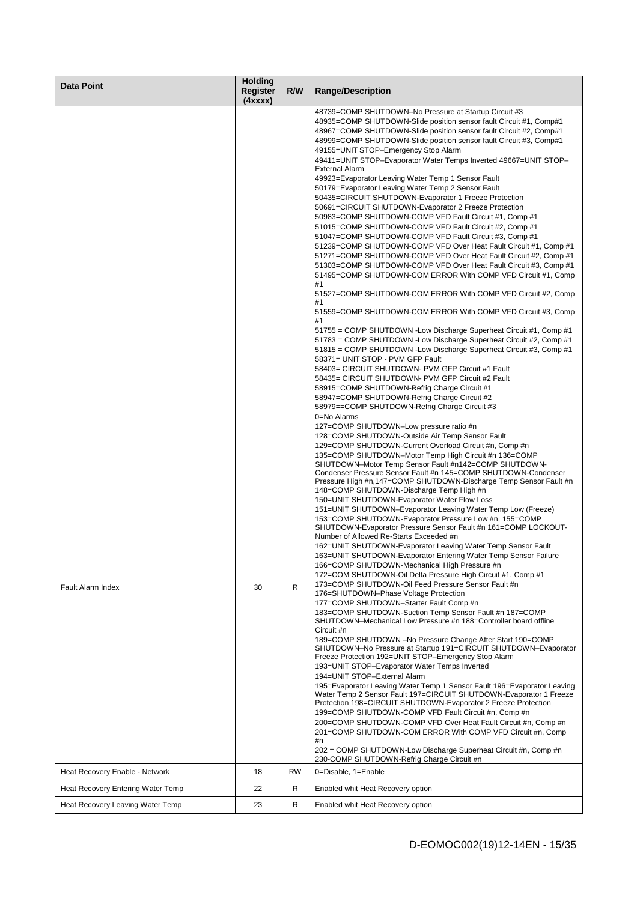| <b>Data Point</b>                 | <b>Holding</b><br>Register | R/W       | <b>Range/Description</b>                                                                                                                                                                                                                                                                                                                                                                                                                                                                                                                                                                                                                                                                                                                                                                                                                                                                                                                                                                                                                                                                                                                                                                                                                                                                                                                                                                                                                                                                                                                                                                                                                                                                                                                                                                                                                                                                                                                                                                                                                                                                                                                                                                                                 |
|-----------------------------------|----------------------------|-----------|--------------------------------------------------------------------------------------------------------------------------------------------------------------------------------------------------------------------------------------------------------------------------------------------------------------------------------------------------------------------------------------------------------------------------------------------------------------------------------------------------------------------------------------------------------------------------------------------------------------------------------------------------------------------------------------------------------------------------------------------------------------------------------------------------------------------------------------------------------------------------------------------------------------------------------------------------------------------------------------------------------------------------------------------------------------------------------------------------------------------------------------------------------------------------------------------------------------------------------------------------------------------------------------------------------------------------------------------------------------------------------------------------------------------------------------------------------------------------------------------------------------------------------------------------------------------------------------------------------------------------------------------------------------------------------------------------------------------------------------------------------------------------------------------------------------------------------------------------------------------------------------------------------------------------------------------------------------------------------------------------------------------------------------------------------------------------------------------------------------------------------------------------------------------------------------------------------------------------|
|                                   | (4xxxx)                    |           |                                                                                                                                                                                                                                                                                                                                                                                                                                                                                                                                                                                                                                                                                                                                                                                                                                                                                                                                                                                                                                                                                                                                                                                                                                                                                                                                                                                                                                                                                                                                                                                                                                                                                                                                                                                                                                                                                                                                                                                                                                                                                                                                                                                                                          |
|                                   |                            |           | 48739=COMP SHUTDOWN-No Pressure at Startup Circuit #3<br>48935=COMP SHUTDOWN-Slide position sensor fault Circuit #1, Comp#1<br>48967=COMP SHUTDOWN-Slide position sensor fault Circuit #2, Comp#1<br>48999=COMP SHUTDOWN-Slide position sensor fault Circuit #3, Comp#1<br>49155=UNIT STOP-Emergency Stop Alarm<br>49411=UNIT STOP-Evaporator Water Temps Inverted 49667=UNIT STOP-<br><b>External Alarm</b><br>49923=Evaporator Leaving Water Temp 1 Sensor Fault<br>50179=Evaporator Leaving Water Temp 2 Sensor Fault<br>50435=CIRCUIT SHUTDOWN-Evaporator 1 Freeze Protection<br>50691=CIRCUIT SHUTDOWN-Evaporator 2 Freeze Protection<br>50983=COMP SHUTDOWN-COMP VFD Fault Circuit #1, Comp #1<br>51015=COMP SHUTDOWN-COMP VFD Fault Circuit #2, Comp #1<br>51047=COMP SHUTDOWN-COMP VFD Fault Circuit #3, Comp #1<br>51239=COMP SHUTDOWN-COMP VFD Over Heat Fault Circuit #1, Comp #1<br>51271=COMP SHUTDOWN-COMP VFD Over Heat Fault Circuit #2, Comp #1<br>51303=COMP SHUTDOWN-COMP VFD Over Heat Fault Circuit #3, Comp #1<br>51495=COMP SHUTDOWN-COM ERROR With COMP VFD Circuit #1, Comp<br>#1<br>51527=COMP SHUTDOWN-COM ERROR With COMP VFD Circuit #2, Comp<br>#1<br>51559=COMP SHUTDOWN-COM ERROR With COMP VFD Circuit #3, Comp<br>#1<br>51755 = COMP SHUTDOWN - Low Discharge Superheat Circuit #1, Comp #1<br>51783 = COMP SHUTDOWN - Low Discharge Superheat Circuit #2, Comp #1<br>51815 = COMP SHUTDOWN - Low Discharge Superheat Circuit #3, Comp #1<br>58371= UNIT STOP - PVM GFP Fault<br>58403= CIRCUIT SHUTDOWN- PVM GFP Circuit #1 Fault<br>58435= CIRCUIT SHUTDOWN- PVM GFP Circuit #2 Fault<br>58915=COMP SHUTDOWN-Refrig Charge Circuit #1                                                                                                                                                                                                                                                                                                                                                                                                                                                                                                                                                |
| Fault Alarm Index                 | 30                         | R         | 58947=COMP SHUTDOWN-Refrig Charge Circuit #2<br>58979==COMP SHUTDOWN-Refrig Charge Circuit #3<br>0=No Alarms<br>127=COMP SHUTDOWN-Low pressure ratio #n<br>128=COMP SHUTDOWN-Outside Air Temp Sensor Fault<br>129=COMP SHUTDOWN-Current Overload Circuit #n, Comp #n<br>135=COMP SHUTDOWN-Motor Temp High Circuit #n 136=COMP<br>SHUTDOWN-Motor Temp Sensor Fault #n142=COMP SHUTDOWN-<br>Condenser Pressure Sensor Fault #n 145=COMP SHUTDOWN-Condenser<br>Pressure High #n,147=COMP SHUTDOWN-Discharge Temp Sensor Fault #n<br>148=COMP SHUTDOWN-Discharge Temp High #n<br>150=UNIT SHUTDOWN-Evaporator Water Flow Loss<br>151=UNIT SHUTDOWN-Evaporator Leaving Water Temp Low (Freeze)<br>153=COMP SHUTDOWN-Evaporator Pressure Low #n, 155=COMP<br>SHUTDOWN-Evaporator Pressure Sensor Fault #n 161=COMP LOCKOUT-<br>Number of Allowed Re-Starts Exceeded #n<br>162=UNIT SHUTDOWN-Evaporator Leaving Water Temp Sensor Fault<br>163=UNIT SHUTDOWN-Evaporator Entering Water Temp Sensor Failure<br>166=COMP SHUTDOWN-Mechanical High Pressure #n<br>172=COM SHUTDOWN-Oil Delta Pressure High Circuit #1, Comp #1<br>173=COMP SHUTDOWN-Oil Feed Pressure Sensor Fault #n<br>176=SHUTDOWN-Phase Voltage Protection<br>177=COMP SHUTDOWN-Starter Fault Comp #n<br>183=COMP SHUTDOWN-Suction Temp Sensor Fault #n 187=COMP<br>SHUTDOWN-Mechanical Low Pressure #n 188=Controller board offline<br>Circuit #n<br>189=COMP SHUTDOWN -No Pressure Change After Start 190=COMP<br>SHUTDOWN-No Pressure at Startup 191=CIRCUIT SHUTDOWN-Evaporator<br>Freeze Protection 192=UNIT STOP-Emergency Stop Alarm<br>193=UNIT STOP-Evaporator Water Temps Inverted<br>194=UNIT STOP-External Alarm<br>195=Evaporator Leaving Water Temp 1 Sensor Fault 196=Evaporator Leaving<br>Water Temp 2 Sensor Fault 197=CIRCUIT SHUTDOWN-Evaporator 1 Freeze<br>Protection 198=CIRCUIT SHUTDOWN-Evaporator 2 Freeze Protection<br>199=COMP SHUTDOWN-COMP VFD Fault Circuit #n, Comp #n<br>200=COMP SHUTDOWN-COMP VFD Over Heat Fault Circuit #n, Comp #n<br>201=COMP SHUTDOWN-COM ERROR With COMP VFD Circuit #n, Comp<br>#n<br>202 = COMP SHUTDOWN-Low Discharge Superheat Circuit #n, Comp #n<br>230-COMP SHUTDOWN-Refrig Charge Circuit #n |
| Heat Recovery Enable - Network    | 18                         | <b>RW</b> | 0=Disable, 1=Enable                                                                                                                                                                                                                                                                                                                                                                                                                                                                                                                                                                                                                                                                                                                                                                                                                                                                                                                                                                                                                                                                                                                                                                                                                                                                                                                                                                                                                                                                                                                                                                                                                                                                                                                                                                                                                                                                                                                                                                                                                                                                                                                                                                                                      |
| Heat Recovery Entering Water Temp | 22                         | R         | Enabled whit Heat Recovery option                                                                                                                                                                                                                                                                                                                                                                                                                                                                                                                                                                                                                                                                                                                                                                                                                                                                                                                                                                                                                                                                                                                                                                                                                                                                                                                                                                                                                                                                                                                                                                                                                                                                                                                                                                                                                                                                                                                                                                                                                                                                                                                                                                                        |
| Heat Recovery Leaving Water Temp  | 23                         | R         | Enabled whit Heat Recovery option                                                                                                                                                                                                                                                                                                                                                                                                                                                                                                                                                                                                                                                                                                                                                                                                                                                                                                                                                                                                                                                                                                                                                                                                                                                                                                                                                                                                                                                                                                                                                                                                                                                                                                                                                                                                                                                                                                                                                                                                                                                                                                                                                                                        |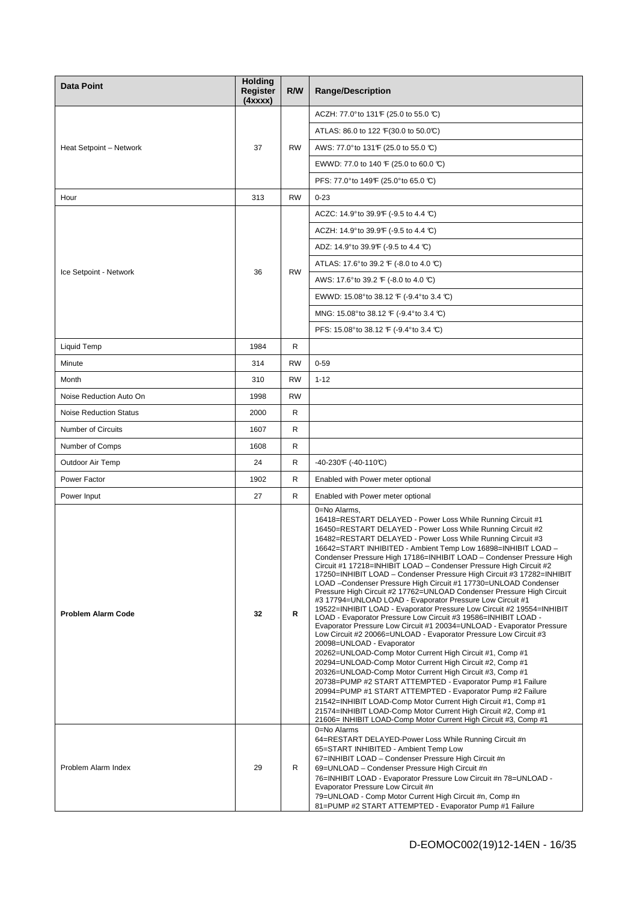| <b>Data Point</b>             | <b>Holding</b><br><b>Register</b><br>(4xxxx) | R/W       | <b>Range/Description</b>                                                                                                                                                                                                                                                                                                                                                                                                                                                                                                                                                                                                                                                                                                                                                                                                                                                                                                                                                                                                                                                                                                                                                                                                                                                                                                                                                                                                                                                                                                                               |
|-------------------------------|----------------------------------------------|-----------|--------------------------------------------------------------------------------------------------------------------------------------------------------------------------------------------------------------------------------------------------------------------------------------------------------------------------------------------------------------------------------------------------------------------------------------------------------------------------------------------------------------------------------------------------------------------------------------------------------------------------------------------------------------------------------------------------------------------------------------------------------------------------------------------------------------------------------------------------------------------------------------------------------------------------------------------------------------------------------------------------------------------------------------------------------------------------------------------------------------------------------------------------------------------------------------------------------------------------------------------------------------------------------------------------------------------------------------------------------------------------------------------------------------------------------------------------------------------------------------------------------------------------------------------------------|
|                               |                                              |           | ACZH: 77.0° to 131 F (25.0 to 55.0 °C)                                                                                                                                                                                                                                                                                                                                                                                                                                                                                                                                                                                                                                                                                                                                                                                                                                                                                                                                                                                                                                                                                                                                                                                                                                                                                                                                                                                                                                                                                                                 |
|                               |                                              |           | ATLAS: 86.0 to 122 F(30.0 to 50.0 °C)                                                                                                                                                                                                                                                                                                                                                                                                                                                                                                                                                                                                                                                                                                                                                                                                                                                                                                                                                                                                                                                                                                                                                                                                                                                                                                                                                                                                                                                                                                                  |
| Heat Setpoint - Network       | 37                                           | <b>RW</b> | AWS: 77.0° to 131 F (25.0 to 55.0 °C)                                                                                                                                                                                                                                                                                                                                                                                                                                                                                                                                                                                                                                                                                                                                                                                                                                                                                                                                                                                                                                                                                                                                                                                                                                                                                                                                                                                                                                                                                                                  |
|                               |                                              |           | EWWD: 77.0 to 140 °F (25.0 to 60.0 ℃)                                                                                                                                                                                                                                                                                                                                                                                                                                                                                                                                                                                                                                                                                                                                                                                                                                                                                                                                                                                                                                                                                                                                                                                                                                                                                                                                                                                                                                                                                                                  |
|                               |                                              |           | PFS: 77.0° to 149°F (25.0° to 65.0 °C)                                                                                                                                                                                                                                                                                                                                                                                                                                                                                                                                                                                                                                                                                                                                                                                                                                                                                                                                                                                                                                                                                                                                                                                                                                                                                                                                                                                                                                                                                                                 |
| Hour                          | 313                                          | <b>RW</b> | $0 - 23$                                                                                                                                                                                                                                                                                                                                                                                                                                                                                                                                                                                                                                                                                                                                                                                                                                                                                                                                                                                                                                                                                                                                                                                                                                                                                                                                                                                                                                                                                                                                               |
|                               |                                              |           | ACZC: 14.9° to 39.9 F (-9.5 to 4.4 °C)                                                                                                                                                                                                                                                                                                                                                                                                                                                                                                                                                                                                                                                                                                                                                                                                                                                                                                                                                                                                                                                                                                                                                                                                                                                                                                                                                                                                                                                                                                                 |
|                               |                                              |           | ACZH: 14.9° to 39.9 F (-9.5 to 4.4 °C)                                                                                                                                                                                                                                                                                                                                                                                                                                                                                                                                                                                                                                                                                                                                                                                                                                                                                                                                                                                                                                                                                                                                                                                                                                                                                                                                                                                                                                                                                                                 |
|                               |                                              |           | ADZ: 14.9° to 39.9° (-9.5 to 4.4 °C)                                                                                                                                                                                                                                                                                                                                                                                                                                                                                                                                                                                                                                                                                                                                                                                                                                                                                                                                                                                                                                                                                                                                                                                                                                                                                                                                                                                                                                                                                                                   |
|                               |                                              |           | ATLAS: 17.6° to 39.2 F (-8.0 to 4.0 °C)                                                                                                                                                                                                                                                                                                                                                                                                                                                                                                                                                                                                                                                                                                                                                                                                                                                                                                                                                                                                                                                                                                                                                                                                                                                                                                                                                                                                                                                                                                                |
| Ice Setpoint - Network        | 36                                           | <b>RW</b> | AWS: 17.6° to 39.2 F (-8.0 to 4.0 °C)                                                                                                                                                                                                                                                                                                                                                                                                                                                                                                                                                                                                                                                                                                                                                                                                                                                                                                                                                                                                                                                                                                                                                                                                                                                                                                                                                                                                                                                                                                                  |
|                               |                                              |           | EWWD: 15.08° to 38.12 $F$ (-9.4° to 3.4 °C)                                                                                                                                                                                                                                                                                                                                                                                                                                                                                                                                                                                                                                                                                                                                                                                                                                                                                                                                                                                                                                                                                                                                                                                                                                                                                                                                                                                                                                                                                                            |
|                               |                                              |           | MNG: 15.08° to 38.12 F (-9.4° to 3.4 °C)                                                                                                                                                                                                                                                                                                                                                                                                                                                                                                                                                                                                                                                                                                                                                                                                                                                                                                                                                                                                                                                                                                                                                                                                                                                                                                                                                                                                                                                                                                               |
|                               |                                              |           | PFS: 15.08° to 38.12 F (-9.4° to 3.4 °C)                                                                                                                                                                                                                                                                                                                                                                                                                                                                                                                                                                                                                                                                                                                                                                                                                                                                                                                                                                                                                                                                                                                                                                                                                                                                                                                                                                                                                                                                                                               |
| Liquid Temp                   | 1984                                         | R         |                                                                                                                                                                                                                                                                                                                                                                                                                                                                                                                                                                                                                                                                                                                                                                                                                                                                                                                                                                                                                                                                                                                                                                                                                                                                                                                                                                                                                                                                                                                                                        |
| Minute                        | 314                                          | <b>RW</b> | $0 - 59$                                                                                                                                                                                                                                                                                                                                                                                                                                                                                                                                                                                                                                                                                                                                                                                                                                                                                                                                                                                                                                                                                                                                                                                                                                                                                                                                                                                                                                                                                                                                               |
| Month                         | 310                                          | <b>RW</b> | $1 - 12$                                                                                                                                                                                                                                                                                                                                                                                                                                                                                                                                                                                                                                                                                                                                                                                                                                                                                                                                                                                                                                                                                                                                                                                                                                                                                                                                                                                                                                                                                                                                               |
| Noise Reduction Auto On       | 1998                                         | <b>RW</b> |                                                                                                                                                                                                                                                                                                                                                                                                                                                                                                                                                                                                                                                                                                                                                                                                                                                                                                                                                                                                                                                                                                                                                                                                                                                                                                                                                                                                                                                                                                                                                        |
| <b>Noise Reduction Status</b> | 2000                                         | R         |                                                                                                                                                                                                                                                                                                                                                                                                                                                                                                                                                                                                                                                                                                                                                                                                                                                                                                                                                                                                                                                                                                                                                                                                                                                                                                                                                                                                                                                                                                                                                        |
| <b>Number of Circuits</b>     | 1607                                         | R         |                                                                                                                                                                                                                                                                                                                                                                                                                                                                                                                                                                                                                                                                                                                                                                                                                                                                                                                                                                                                                                                                                                                                                                                                                                                                                                                                                                                                                                                                                                                                                        |
| Number of Comps               | 1608                                         | R         |                                                                                                                                                                                                                                                                                                                                                                                                                                                                                                                                                                                                                                                                                                                                                                                                                                                                                                                                                                                                                                                                                                                                                                                                                                                                                                                                                                                                                                                                                                                                                        |
| Outdoor Air Temp              | 24                                           | R         | $-40-230$ F ( $-40-110$ °C)                                                                                                                                                                                                                                                                                                                                                                                                                                                                                                                                                                                                                                                                                                                                                                                                                                                                                                                                                                                                                                                                                                                                                                                                                                                                                                                                                                                                                                                                                                                            |
| Power Factor                  | 1902                                         | R         | Enabled with Power meter optional                                                                                                                                                                                                                                                                                                                                                                                                                                                                                                                                                                                                                                                                                                                                                                                                                                                                                                                                                                                                                                                                                                                                                                                                                                                                                                                                                                                                                                                                                                                      |
| Power Input                   | 27                                           | R         | Enabled with Power meter optional                                                                                                                                                                                                                                                                                                                                                                                                                                                                                                                                                                                                                                                                                                                                                                                                                                                                                                                                                                                                                                                                                                                                                                                                                                                                                                                                                                                                                                                                                                                      |
| <b>Problem Alarm Code</b>     | 32                                           | R         | 0=No Alarms,<br>16418=RESTART DELAYED - Power Loss While Running Circuit #1<br>16450=RESTART DELAYED - Power Loss While Running Circuit #2<br>16482=RESTART DELAYED - Power Loss While Running Circuit #3<br>16642=START INHIBITED - Ambient Temp Low 16898=INHIBIT LOAD -<br>Condenser Pressure High 17186=INHIBIT LOAD - Condenser Pressure High<br>Circuit #1 17218=INHIBIT LOAD - Condenser Pressure High Circuit #2<br>17250=INHIBIT LOAD - Condenser Pressure High Circuit #3 17282=INHIBIT<br>LOAD -Condenser Pressure High Circuit #1 17730=UNLOAD Condenser<br>Pressure High Circuit #2 17762=UNLOAD Condenser Pressure High Circuit<br>#3 17794=UNLOAD LOAD - Evaporator Pressure Low Circuit #1<br>19522=INHIBIT LOAD - Evaporator Pressure Low Circuit #2 19554=INHIBIT<br>LOAD - Evaporator Pressure Low Circuit #3 19586=INHIBIT LOAD -<br>Evaporator Pressure Low Circuit #1 20034=UNLOAD - Evaporator Pressure<br>Low Circuit #2 20066=UNLOAD - Evaporator Pressure Low Circuit #3<br>20098=UNLOAD - Evaporator<br>20262=UNLOAD-Comp Motor Current High Circuit #1, Comp #1<br>20294=UNLOAD-Comp Motor Current High Circuit #2, Comp #1<br>20326=UNLOAD-Comp Motor Current High Circuit #3, Comp #1<br>20738=PUMP #2 START ATTEMPTED - Evaporator Pump #1 Failure<br>20994=PUMP #1 START ATTEMPTED - Evaporator Pump #2 Failure<br>21542=INHIBIT LOAD-Comp Motor Current High Circuit #1, Comp #1<br>21574=INHIBIT LOAD-Comp Motor Current High Circuit #2, Comp #1<br>21606= INHIBIT LOAD-Comp Motor Current High Circuit #3, Comp #1 |
| Problem Alarm Index           | 29                                           | R         | 0=No Alarms<br>64=RESTART DELAYED-Power Loss While Running Circuit #n<br>65=START INHIBITED - Ambient Temp Low<br>67=INHIBIT LOAD - Condenser Pressure High Circuit #n<br>69=UNLOAD - Condenser Pressure High Circuit #n<br>76=INHIBIT LOAD - Evaporator Pressure Low Circuit #n 78=UNLOAD -<br>Evaporator Pressure Low Circuit #n<br>79=UNLOAD - Comp Motor Current High Circuit #n, Comp #n<br>81=PUMP #2 START ATTEMPTED - Evaporator Pump #1 Failure                                                                                                                                                                                                                                                                                                                                                                                                                                                                                                                                                                                                                                                                                                                                                                                                                                                                                                                                                                                                                                                                                               |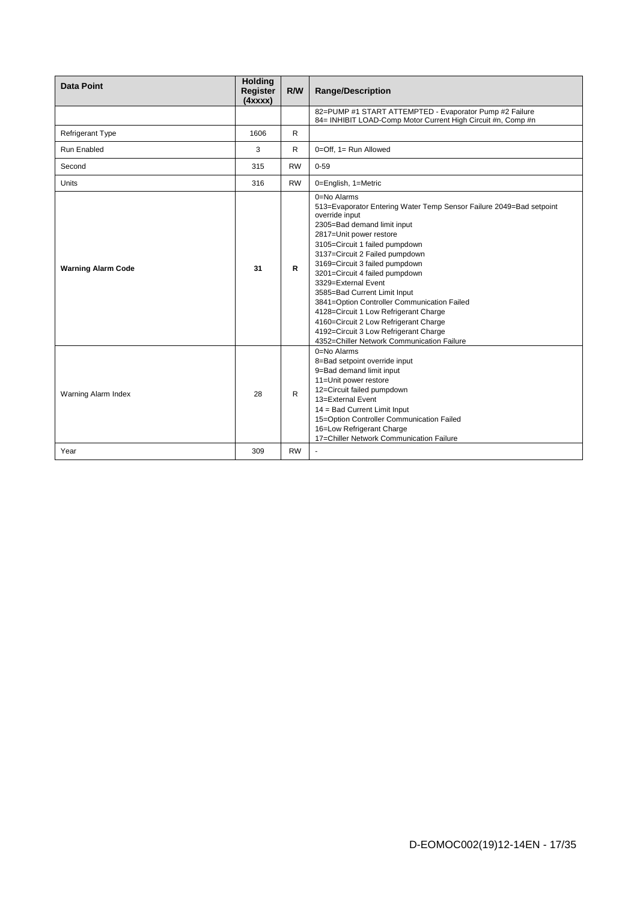| <b>Data Point</b>         | <b>Holding</b><br><b>Register</b><br>(4xxxx) | R/W          | <b>Range/Description</b>                                                                                                                                                                                                                                                                                                                                                                                                                                                                                                                                                                  |
|---------------------------|----------------------------------------------|--------------|-------------------------------------------------------------------------------------------------------------------------------------------------------------------------------------------------------------------------------------------------------------------------------------------------------------------------------------------------------------------------------------------------------------------------------------------------------------------------------------------------------------------------------------------------------------------------------------------|
|                           |                                              |              | 82=PUMP #1 START ATTEMPTED - Evaporator Pump #2 Failure<br>84= INHIBIT LOAD-Comp Motor Current High Circuit #n, Comp #n                                                                                                                                                                                                                                                                                                                                                                                                                                                                   |
| Refrigerant Type          | 1606                                         | $\mathsf{R}$ |                                                                                                                                                                                                                                                                                                                                                                                                                                                                                                                                                                                           |
| <b>Run Enabled</b>        | 3                                            | $\mathsf{R}$ | 0=Off, 1= Run Allowed                                                                                                                                                                                                                                                                                                                                                                                                                                                                                                                                                                     |
| Second                    | 315                                          | <b>RW</b>    | $0 - 59$                                                                                                                                                                                                                                                                                                                                                                                                                                                                                                                                                                                  |
| Units                     | 316                                          | <b>RW</b>    | 0=English, 1=Metric                                                                                                                                                                                                                                                                                                                                                                                                                                                                                                                                                                       |
| <b>Warning Alarm Code</b> | 31                                           | R            | $0 = No$ Alarms<br>513=Evaporator Entering Water Temp Sensor Failure 2049=Bad setpoint<br>override input<br>2305=Bad demand limit input<br>2817=Unit power restore<br>3105=Circuit 1 failed pumpdown<br>3137=Circuit 2 Failed pumpdown<br>3169=Circuit 3 failed pumpdown<br>3201=Circuit 4 failed pumpdown<br>3329=External Event<br>3585=Bad Current Limit Input<br>3841=Option Controller Communication Failed<br>4128=Circuit 1 Low Refrigerant Charge<br>4160=Circuit 2 Low Refrigerant Charge<br>4192=Circuit 3 Low Refrigerant Charge<br>4352=Chiller Network Communication Failure |
| Warning Alarm Index       | 28                                           | R            | 0=No Alarms<br>8=Bad setpoint override input<br>9=Bad demand limit input<br>11=Unit power restore<br>12=Circuit failed pumpdown<br>13=External Event<br>14 = Bad Current Limit Input<br>15=Option Controller Communication Failed<br>16=Low Refrigerant Charge<br>17=Chiller Network Communication Failure                                                                                                                                                                                                                                                                                |
| Year                      | 309                                          | <b>RW</b>    |                                                                                                                                                                                                                                                                                                                                                                                                                                                                                                                                                                                           |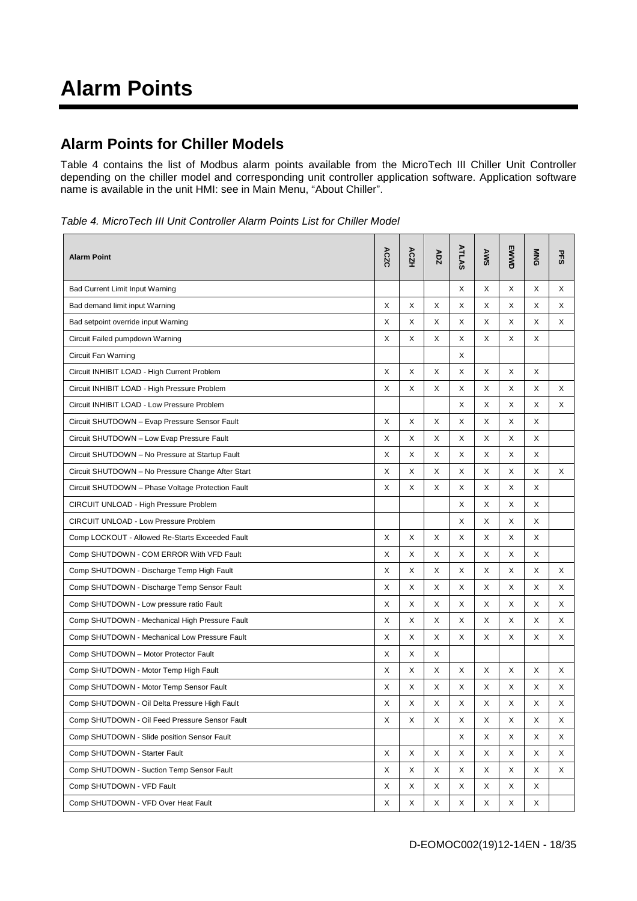#### **Alarm Points for Chiller Models**

Table 4 contains the list of Modbus alarm points available from the MicroTech III Chiller Unit Controller depending on the chiller model and corresponding unit controller application software. Application software name is available in the unit HMI: see in Main Menu, "About Chiller".

**Alarm Point ACZC ACZH ADZ ATLAS AWS EWWD MNG PFS**  Bad Current Limit Input Warning X X X X X Bad demand limit input Warning X X X X X X X X Bad setpoint override input Warning X X X X X X X X Circuit Failed pumpdown Warning X X X X X X X Circuit Fan Warning X (September 2008) 2012 12:00 12:00 12:00 12:00 12:00 12:00 12:00 12:00 12:00 12:00 12:00 12:00 12:00 12:00 12:00 12:00 12:00 12:00 12:00 12:00 12:00 12:00 12:00 12:00 12:00 12:00 12:00 12:00 12:00 12:0 Circuit INHIBIT LOAD - High Current Problem X X X X X X X Circuit INHIBIT LOAD - High Pressure Problem X X X X X X X X Circuit INHIBIT LOAD - Low Pressure Problem X X X X X Circuit SHUTDOWN – Evap Pressure Sensor Fault X X X X X X X Circuit SHUTDOWN – Low Evap Pressure Fault X X X X X X X Circuit SHUTDOWN – No Pressure at Startup Fault X X X X X X X Circuit SHUTDOWN – No Pressure Change After Start X X X X X X X X Circuit SHUTDOWN – Phase Voltage Protection Fault X X X X X X X CIRCUIT UNLOAD - High Pressure Problem X X X X CIRCUIT UNLOAD - Low Pressure Problem X X X X Comp LOCKOUT - Allowed Re-Starts Exceeded Fault X X X X X X X Comp SHUTDOWN - COM ERROR With VFD Fault X X X X X X X Comp SHUTDOWN - Discharge Temp High Fault X X X X X X X X Comp SHUTDOWN - Discharge Temp Sensor Fault X X X X X X X X Comp SHUTDOWN - Low pressure ratio Fault X X X X X X X X Comp SHUTDOWN - Mechanical High Pressure Fault X X X X X X X X Comp SHUTDOWN - Mechanical Low Pressure Fault X X X X X X X X Comp SHUTDOWN – Motor Protector Fault  $\begin{array}{c|c}\n\downarrow & \downarrow & \downarrow & \downarrow & \downarrow & \downarrow & \downarrow\n\end{array}$ Comp SHUTDOWN - Motor Temp High Fault X X X X X X X X Comp SHUTDOWN - Motor Temp Sensor Fault X X X X X X X X Comp SHUTDOWN - Oil Delta Pressure High Fault X X X X X X X X Comp SHUTDOWN - Oil Feed Pressure Sensor Fault X X X X X X X X Comp SHUTDOWN - Slide position Sensor Fault X X X X X Comp SHUTDOWN - Starter Fault X X X X X X X X Comp SHUTDOWN - Suction Temp Sensor Fault X X X X X X X X Comp SHUTDOWN - VFD Fault X X X X X X X Comp SHUTDOWN - VFD Over Heat Fault X X X X X X X

Table 4. MicroTech III Unit Controller Alarm Points List for Chiller Model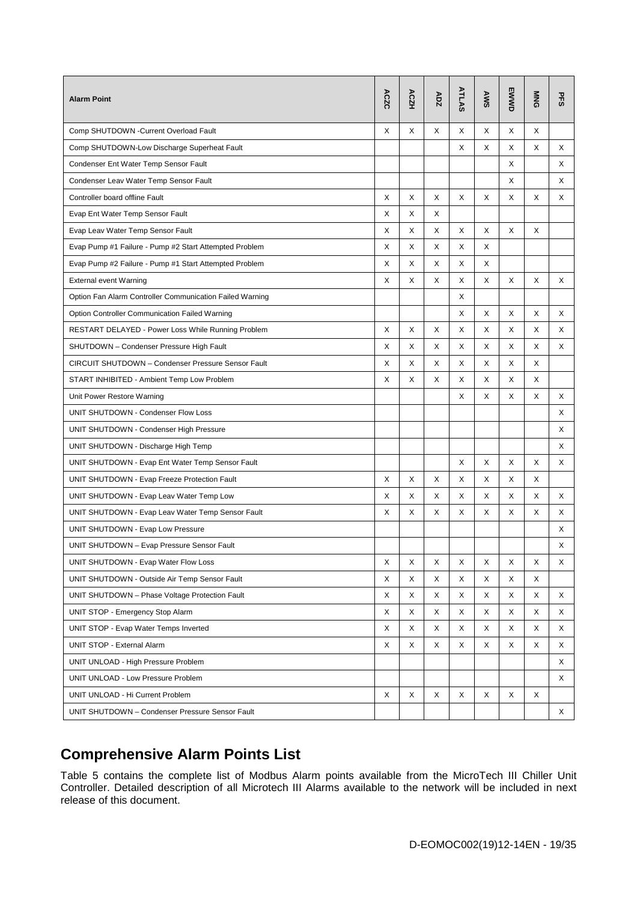| <b>Alarm Point</b>                                       | <b>ACZC</b> | <b>ACZH</b> | <b>ADZ</b> | <b>ATLAS</b> | SMV | <b>EWWD</b> | <b>MNG</b> | <b>PFS</b> |
|----------------------------------------------------------|-------------|-------------|------------|--------------|-----|-------------|------------|------------|
| Comp SHUTDOWN - Current Overload Fault                   | X           | X           | X          | X            | X   | X           | X          |            |
| Comp SHUTDOWN-Low Discharge Superheat Fault              |             |             |            | X            | X   | X           | X          | Χ          |
| Condenser Ent Water Temp Sensor Fault                    |             |             |            |              |     | X           |            | X          |
| Condenser Leav Water Temp Sensor Fault                   |             |             |            |              |     | X           |            | X          |
| Controller board offline Fault                           | X           | X           | Χ          | X            | X   | X           | X          | Χ          |
| Evap Ent Water Temp Sensor Fault                         | X           | X           | X          |              |     |             |            |            |
| Evap Leav Water Temp Sensor Fault                        | X           | X           | X          | X            | X   | X           | X          |            |
| Evap Pump #1 Failure - Pump #2 Start Attempted Problem   | X           | X           | X          | X            | X   |             |            |            |
| Evap Pump #2 Failure - Pump #1 Start Attempted Problem   | X           | X           | X          | X            | X   |             |            |            |
| <b>External event Warning</b>                            | X           | X           | X          | X            | X   | X           | X          | X          |
| Option Fan Alarm Controller Communication Failed Warning |             |             |            | X            |     |             |            |            |
| <b>Option Controller Communication Failed Warning</b>    |             |             |            | X            | X   | X           | X          | X          |
| RESTART DELAYED - Power Loss While Running Problem       | X           | X           | X          | X            | X   | X           | X          | X          |
| SHUTDOWN - Condenser Pressure High Fault                 | X           | X           | Х          | X            | X   | X           | X          | Χ          |
| CIRCUIT SHUTDOWN - Condenser Pressure Sensor Fault       | X           | X           | X          | X            | X   | X           | X          |            |
| START INHIBITED - Ambient Temp Low Problem               | X           | X           | X          | X            | X   | X           | X          |            |
| Unit Power Restore Warning                               |             |             |            | X            | X   | X           | X          | Χ          |
| UNIT SHUTDOWN - Condenser Flow Loss                      |             |             |            |              |     |             |            | X          |
| UNIT SHUTDOWN - Condenser High Pressure                  |             |             |            |              |     |             |            | X          |
| UNIT SHUTDOWN - Discharge High Temp                      |             |             |            |              |     |             |            | X          |
| UNIT SHUTDOWN - Evap Ent Water Temp Sensor Fault         |             |             |            | X            | X   | X           | X          | Χ          |
| UNIT SHUTDOWN - Evap Freeze Protection Fault             | X           | X           | X          | X            | X   | X           | X          |            |
| UNIT SHUTDOWN - Evap Leav Water Temp Low                 | X           | X           | X          | X            | X   | X           | X          | X          |
| UNIT SHUTDOWN - Evap Leav Water Temp Sensor Fault        | X           | X           | Χ          | X            | X   | X           | X          | Χ          |
| UNIT SHUTDOWN - Evap Low Pressure                        |             |             |            |              |     |             |            | X          |
| UNIT SHUTDOWN - Evap Pressure Sensor Fault               |             |             |            |              |     |             |            | Χ          |
| UNIT SHUTDOWN - Evap Water Flow Loss                     | X           | х           | х          | X            | X   | X           | X          | Χ          |
| UNIT SHUTDOWN - Outside Air Temp Sensor Fault            | X           | X           | X          | X            | X   | X           | X          |            |
| UNIT SHUTDOWN - Phase Voltage Protection Fault           | X           | X           | Χ          | X            | X   | Х           | X          | X          |
| UNIT STOP - Emergency Stop Alarm                         | X           | X           | X          | X            | X   | X           | X          | X          |
| UNIT STOP - Evap Water Temps Inverted                    | X           | X           | X          | X            | X   | Х           | X          | X          |
| <b>UNIT STOP - External Alarm</b>                        | X           | X           | X          | X            | X   | Х           | X          | Χ          |
| UNIT UNLOAD - High Pressure Problem                      |             |             |            |              |     |             |            | Χ          |
| UNIT UNLOAD - Low Pressure Problem                       |             |             |            |              |     |             |            | Χ          |
| UNIT UNLOAD - Hi Current Problem                         | X           | X           | Χ          | X            | X   | X           | X          |            |
| UNIT SHUTDOWN - Condenser Pressure Sensor Fault          |             |             |            |              |     |             |            | X          |

#### **Comprehensive Alarm Points List**

Table 5 contains the complete list of Modbus Alarm points available from the MicroTech III Chiller Unit Controller. Detailed description of all Microtech III Alarms available to the network will be included in next release of this document.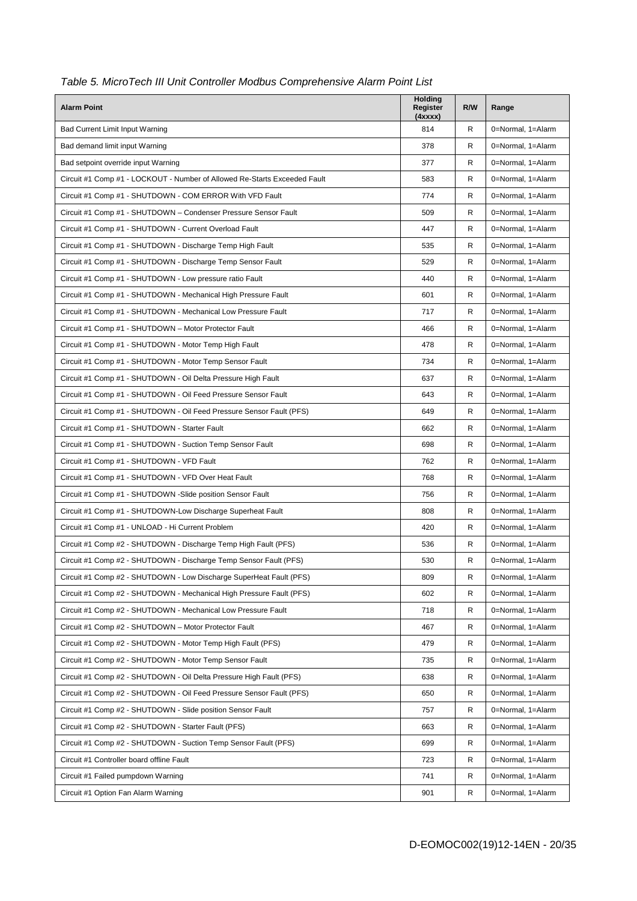| <b>Alarm Point</b>                                                        | <b>Holding</b><br>Register<br>(4xxxx) | R/W | Range             |
|---------------------------------------------------------------------------|---------------------------------------|-----|-------------------|
| Bad Current Limit Input Warning                                           | 814                                   | R   | 0=Normal, 1=Alarm |
| Bad demand limit input Warning                                            | 378                                   | R   | 0=Normal, 1=Alarm |
| Bad setpoint override input Warning                                       | 377                                   | R   | 0=Normal, 1=Alarm |
| Circuit #1 Comp #1 - LOCKOUT - Number of Allowed Re-Starts Exceeded Fault | 583                                   | R   | 0=Normal, 1=Alarm |
| Circuit #1 Comp #1 - SHUTDOWN - COM ERROR With VFD Fault                  | 774                                   | R   | 0=Normal, 1=Alarm |
| Circuit #1 Comp #1 - SHUTDOWN - Condenser Pressure Sensor Fault           | 509                                   | R   | 0=Normal, 1=Alarm |
| Circuit #1 Comp #1 - SHUTDOWN - Current Overload Fault                    | 447                                   | R   | 0=Normal, 1=Alarm |
| Circuit #1 Comp #1 - SHUTDOWN - Discharge Temp High Fault                 | 535                                   | R   | 0=Normal, 1=Alarm |
| Circuit #1 Comp #1 - SHUTDOWN - Discharge Temp Sensor Fault               | 529                                   | R   | 0=Normal, 1=Alarm |
| Circuit #1 Comp #1 - SHUTDOWN - Low pressure ratio Fault                  | 440                                   | R   | 0=Normal, 1=Alarm |
| Circuit #1 Comp #1 - SHUTDOWN - Mechanical High Pressure Fault            | 601                                   | R   | 0=Normal, 1=Alarm |
| Circuit #1 Comp #1 - SHUTDOWN - Mechanical Low Pressure Fault             | 717                                   | R   | 0=Normal, 1=Alarm |
| Circuit #1 Comp #1 - SHUTDOWN - Motor Protector Fault                     | 466                                   | R   | 0=Normal, 1=Alarm |
| Circuit #1 Comp #1 - SHUTDOWN - Motor Temp High Fault                     | 478                                   | R   | 0=Normal, 1=Alarm |
| Circuit #1 Comp #1 - SHUTDOWN - Motor Temp Sensor Fault                   | 734                                   | R   | 0=Normal, 1=Alarm |
| Circuit #1 Comp #1 - SHUTDOWN - Oil Delta Pressure High Fault             | 637                                   | R   | 0=Normal, 1=Alarm |
| Circuit #1 Comp #1 - SHUTDOWN - Oil Feed Pressure Sensor Fault            | 643                                   | R   | 0=Normal, 1=Alarm |
| Circuit #1 Comp #1 - SHUTDOWN - Oil Feed Pressure Sensor Fault (PFS)      | 649                                   | R   | 0=Normal, 1=Alarm |
| Circuit #1 Comp #1 - SHUTDOWN - Starter Fault                             | 662                                   | R   | 0=Normal, 1=Alarm |
| Circuit #1 Comp #1 - SHUTDOWN - Suction Temp Sensor Fault                 | 698                                   | R   | 0=Normal, 1=Alarm |
| Circuit #1 Comp #1 - SHUTDOWN - VFD Fault                                 | 762                                   | R   | 0=Normal, 1=Alarm |
| Circuit #1 Comp #1 - SHUTDOWN - VFD Over Heat Fault                       | 768                                   | R   | 0=Normal, 1=Alarm |
| Circuit #1 Comp #1 - SHUTDOWN - Slide position Sensor Fault               | 756                                   | R   | 0=Normal, 1=Alarm |
| Circuit #1 Comp #1 - SHUTDOWN-Low Discharge Superheat Fault               | 808                                   | R   | 0=Normal, 1=Alarm |
| Circuit #1 Comp #1 - UNLOAD - Hi Current Problem                          | 420                                   | R   | 0=Normal, 1=Alarm |
| Circuit #1 Comp #2 - SHUTDOWN - Discharge Temp High Fault (PFS)           | 536                                   | R   | 0=Normal, 1=Alarm |
| Circuit #1 Comp #2 - SHUTDOWN - Discharge Temp Sensor Fault (PFS)         | 530                                   | R   | 0=Normal, 1=Alarm |
| Circuit #1 Comp #2 - SHUTDOWN - Low Discharge SuperHeat Fault (PFS)       | 809                                   | R   | 0=Normal, 1=Alarm |
| Circuit #1 Comp #2 - SHUTDOWN - Mechanical High Pressure Fault (PFS)      | 602                                   | R   | 0=Normal, 1=Alarm |
| Circuit #1 Comp #2 - SHUTDOWN - Mechanical Low Pressure Fault             | 718                                   | R   | 0=Normal, 1=Alarm |
| Circuit #1 Comp #2 - SHUTDOWN - Motor Protector Fault                     | 467                                   | R   | 0=Normal, 1=Alarm |
| Circuit #1 Comp #2 - SHUTDOWN - Motor Temp High Fault (PFS)               | 479                                   | R   | 0=Normal, 1=Alarm |
| Circuit #1 Comp #2 - SHUTDOWN - Motor Temp Sensor Fault                   | 735                                   | R   | 0=Normal, 1=Alarm |
| Circuit #1 Comp #2 - SHUTDOWN - Oil Delta Pressure High Fault (PFS)       | 638                                   | R   | 0=Normal, 1=Alarm |
| Circuit #1 Comp #2 - SHUTDOWN - Oil Feed Pressure Sensor Fault (PFS)      | 650                                   | R   | 0=Normal, 1=Alarm |
| Circuit #1 Comp #2 - SHUTDOWN - Slide position Sensor Fault               | 757                                   | R   | 0=Normal, 1=Alarm |
| Circuit #1 Comp #2 - SHUTDOWN - Starter Fault (PFS)                       | 663                                   | R   | 0=Normal, 1=Alarm |
| Circuit #1 Comp #2 - SHUTDOWN - Suction Temp Sensor Fault (PFS)           | 699                                   | R   | 0=Normal, 1=Alarm |
| Circuit #1 Controller board offline Fault                                 | 723                                   | R   | 0=Normal, 1=Alarm |
| Circuit #1 Failed pumpdown Warning                                        | 741                                   | R   | 0=Normal, 1=Alarm |
| Circuit #1 Option Fan Alarm Warning                                       | 901                                   | R   | 0=Normal, 1=Alarm |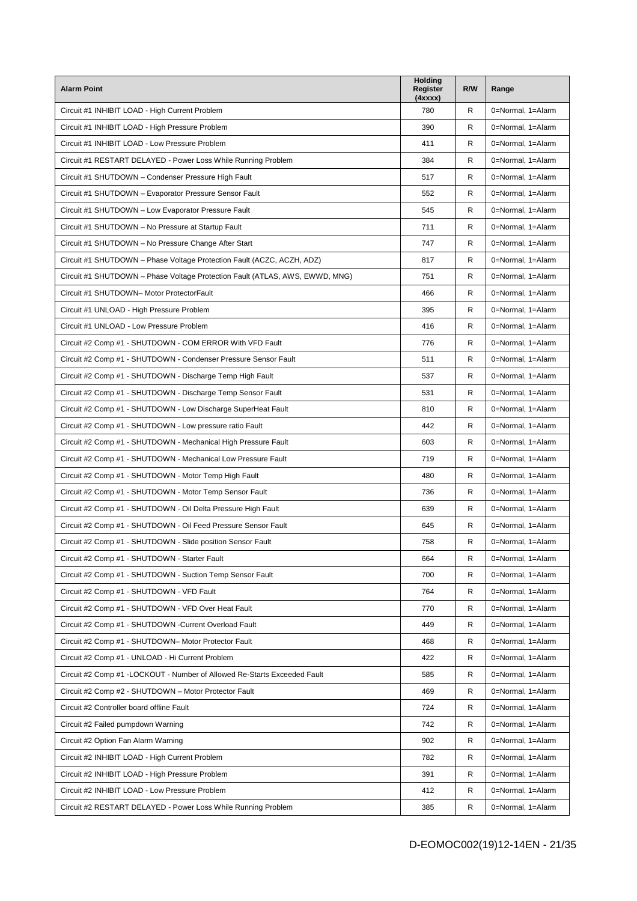| <b>Alarm Point</b>                                                           | <b>Holding</b><br>Register<br>(4xxxx) | R/W | Range             |
|------------------------------------------------------------------------------|---------------------------------------|-----|-------------------|
| Circuit #1 INHIBIT LOAD - High Current Problem                               | 780                                   | R   | 0=Normal, 1=Alarm |
| Circuit #1 INHIBIT LOAD - High Pressure Problem                              | 390                                   | R   | 0=Normal, 1=Alarm |
| Circuit #1 INHIBIT LOAD - Low Pressure Problem                               | 411                                   | R   | 0=Normal, 1=Alarm |
| Circuit #1 RESTART DELAYED - Power Loss While Running Problem                | 384                                   | R   | 0=Normal, 1=Alarm |
| Circuit #1 SHUTDOWN - Condenser Pressure High Fault                          | 517                                   | R   | 0=Normal, 1=Alarm |
| Circuit #1 SHUTDOWN - Evaporator Pressure Sensor Fault                       | 552                                   | R   | 0=Normal, 1=Alarm |
| Circuit #1 SHUTDOWN - Low Evaporator Pressure Fault                          | 545                                   | R   | 0=Normal, 1=Alarm |
| Circuit #1 SHUTDOWN - No Pressure at Startup Fault                           | 711                                   | R   | 0=Normal, 1=Alarm |
| Circuit #1 SHUTDOWN - No Pressure Change After Start                         | 747                                   | R   | 0=Normal, 1=Alarm |
| Circuit #1 SHUTDOWN - Phase Voltage Protection Fault (ACZC, ACZH, ADZ)       | 817                                   | R   | 0=Normal, 1=Alarm |
| Circuit #1 SHUTDOWN - Phase Voltage Protection Fault (ATLAS, AWS, EWWD, MNG) | 751                                   | R   | 0=Normal, 1=Alarm |
| Circuit #1 SHUTDOWN- Motor ProtectorFault                                    | 466                                   | R   | 0=Normal, 1=Alarm |
| Circuit #1 UNLOAD - High Pressure Problem                                    | 395                                   | R   | 0=Normal, 1=Alarm |
| Circuit #1 UNLOAD - Low Pressure Problem                                     | 416                                   | R   | 0=Normal, 1=Alarm |
| Circuit #2 Comp #1 - SHUTDOWN - COM ERROR With VFD Fault                     | 776                                   | R   | 0=Normal, 1=Alarm |
| Circuit #2 Comp #1 - SHUTDOWN - Condenser Pressure Sensor Fault              | 511                                   | R   | 0=Normal, 1=Alarm |
| Circuit #2 Comp #1 - SHUTDOWN - Discharge Temp High Fault                    | 537                                   | R   | 0=Normal, 1=Alarm |
| Circuit #2 Comp #1 - SHUTDOWN - Discharge Temp Sensor Fault                  | 531                                   | R   | 0=Normal, 1=Alarm |
| Circuit #2 Comp #1 - SHUTDOWN - Low Discharge SuperHeat Fault                | 810                                   | R   | 0=Normal, 1=Alarm |
| Circuit #2 Comp #1 - SHUTDOWN - Low pressure ratio Fault                     | 442                                   | R   | 0=Normal, 1=Alarm |
| Circuit #2 Comp #1 - SHUTDOWN - Mechanical High Pressure Fault               | 603                                   | R   | 0=Normal, 1=Alarm |
| Circuit #2 Comp #1 - SHUTDOWN - Mechanical Low Pressure Fault                | 719                                   | R   | 0=Normal, 1=Alarm |
| Circuit #2 Comp #1 - SHUTDOWN - Motor Temp High Fault                        | 480                                   | R   | 0=Normal, 1=Alarm |
| Circuit #2 Comp #1 - SHUTDOWN - Motor Temp Sensor Fault                      | 736                                   | R   | 0=Normal, 1=Alarm |
| Circuit #2 Comp #1 - SHUTDOWN - Oil Delta Pressure High Fault                | 639                                   | R   | 0=Normal, 1=Alarm |
| Circuit #2 Comp #1 - SHUTDOWN - Oil Feed Pressure Sensor Fault               | 645                                   | R   | 0=Normal, 1=Alarm |
| Circuit #2 Comp #1 - SHUTDOWN - Slide position Sensor Fault                  | 758                                   | R   | 0=Normal, 1=Alarm |
| Circuit #2 Comp #1 - SHUTDOWN - Starter Fault                                | 664                                   | R   | 0=Normal, 1=Alarm |
| Circuit #2 Comp #1 - SHUTDOWN - Suction Temp Sensor Fault                    | 700                                   | R   | 0=Normal, 1=Alarm |
| Circuit #2 Comp #1 - SHUTDOWN - VFD Fault                                    | 764                                   | R   | 0=Normal, 1=Alarm |
| Circuit #2 Comp #1 - SHUTDOWN - VFD Over Heat Fault                          | 770                                   | R   | 0=Normal, 1=Alarm |
| Circuit #2 Comp #1 - SHUTDOWN -Current Overload Fault                        | 449                                   | R   | 0=Normal, 1=Alarm |
| Circuit #2 Comp #1 - SHUTDOWN- Motor Protector Fault                         | 468                                   | R   | 0=Normal, 1=Alarm |
| Circuit #2 Comp #1 - UNLOAD - Hi Current Problem                             | 422                                   | R   | 0=Normal, 1=Alarm |
| Circuit #2 Comp #1 - LOCKOUT - Number of Allowed Re-Starts Exceeded Fault    | 585                                   | R   | 0=Normal, 1=Alarm |
| Circuit #2 Comp #2 - SHUTDOWN - Motor Protector Fault                        | 469                                   | R   | 0=Normal, 1=Alarm |
| Circuit #2 Controller board offline Fault                                    | 724                                   | R   | 0=Normal, 1=Alarm |
| Circuit #2 Failed pumpdown Warning                                           | 742                                   | R   | 0=Normal, 1=Alarm |
| Circuit #2 Option Fan Alarm Warning                                          | 902                                   | R   | 0=Normal, 1=Alarm |
| Circuit #2 INHIBIT LOAD - High Current Problem                               | 782                                   | R   | 0=Normal, 1=Alarm |
| Circuit #2 INHIBIT LOAD - High Pressure Problem                              | 391                                   | R   | 0=Normal, 1=Alarm |
| Circuit #2 INHIBIT LOAD - Low Pressure Problem                               | 412                                   | R   | 0=Normal, 1=Alarm |
| Circuit #2 RESTART DELAYED - Power Loss While Running Problem                | 385                                   | R   | 0=Normal, 1=Alarm |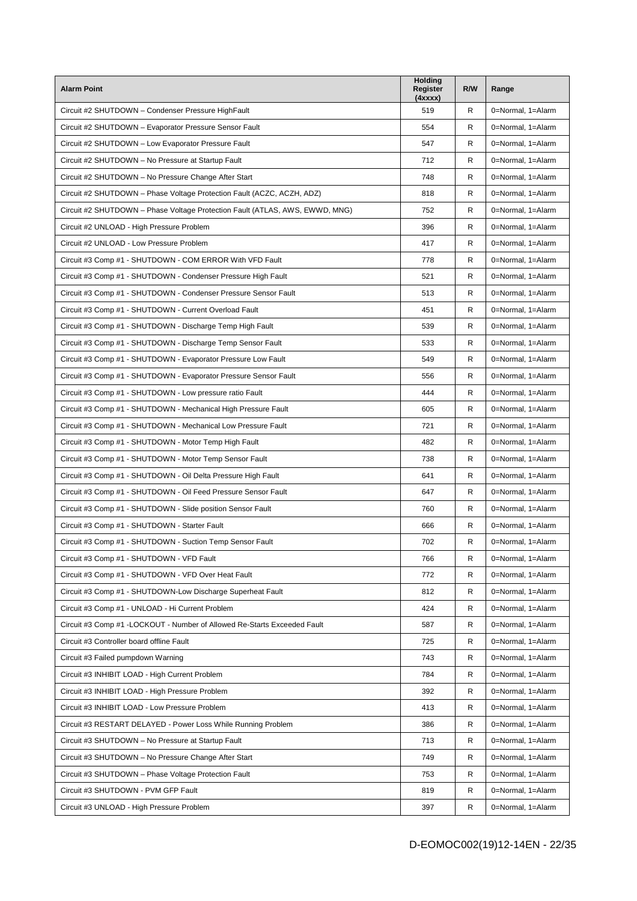| <b>Alarm Point</b>                                                           | <b>Holding</b><br>Register<br>(4xxxx) | R/W | Range             |  |
|------------------------------------------------------------------------------|---------------------------------------|-----|-------------------|--|
| Circuit #2 SHUTDOWN - Condenser Pressure HighFault                           | 519                                   | R   | 0=Normal, 1=Alarm |  |
| Circuit #2 SHUTDOWN - Evaporator Pressure Sensor Fault                       | 554                                   | R   | 0=Normal, 1=Alarm |  |
| Circuit #2 SHUTDOWN - Low Evaporator Pressure Fault                          | 547                                   | R   | 0=Normal, 1=Alarm |  |
| Circuit #2 SHUTDOWN - No Pressure at Startup Fault                           | 712                                   | R   | 0=Normal, 1=Alarm |  |
| Circuit #2 SHUTDOWN - No Pressure Change After Start                         | 748                                   | R   | 0=Normal, 1=Alarm |  |
| Circuit #2 SHUTDOWN - Phase Voltage Protection Fault (ACZC, ACZH, ADZ)       | 818                                   | R   | 0=Normal. 1=Alarm |  |
| Circuit #2 SHUTDOWN - Phase Voltage Protection Fault (ATLAS, AWS, EWWD, MNG) | 752                                   | R   | 0=Normal, 1=Alarm |  |
| Circuit #2 UNLOAD - High Pressure Problem                                    | 396                                   | R   | 0=Normal, 1=Alarm |  |
| Circuit #2 UNLOAD - Low Pressure Problem                                     | 417                                   | R   | 0=Normal, 1=Alarm |  |
| Circuit #3 Comp #1 - SHUTDOWN - COM ERROR With VFD Fault                     | 778                                   | R   | 0=Normal, 1=Alarm |  |
| Circuit #3 Comp #1 - SHUTDOWN - Condenser Pressure High Fault                | 521                                   | R   | 0=Normal, 1=Alarm |  |
| Circuit #3 Comp #1 - SHUTDOWN - Condenser Pressure Sensor Fault              | 513                                   | R   | 0=Normal, 1=Alarm |  |
| Circuit #3 Comp #1 - SHUTDOWN - Current Overload Fault                       | 451                                   | R   | 0=Normal. 1=Alarm |  |
| Circuit #3 Comp #1 - SHUTDOWN - Discharge Temp High Fault                    | 539                                   | R   | 0=Normal, 1=Alarm |  |
| Circuit #3 Comp #1 - SHUTDOWN - Discharge Temp Sensor Fault                  | 533                                   | R   | 0=Normal. 1=Alarm |  |
| Circuit #3 Comp #1 - SHUTDOWN - Evaporator Pressure Low Fault                | 549                                   | R   | 0=Normal, 1=Alarm |  |
| Circuit #3 Comp #1 - SHUTDOWN - Evaporator Pressure Sensor Fault             | 556                                   | R   | 0=Normal, 1=Alarm |  |
| Circuit #3 Comp #1 - SHUTDOWN - Low pressure ratio Fault                     | 444                                   | R   | 0=Normal, 1=Alarm |  |
| Circuit #3 Comp #1 - SHUTDOWN - Mechanical High Pressure Fault               | 605                                   | R   | 0=Normal, 1=Alarm |  |
| Circuit #3 Comp #1 - SHUTDOWN - Mechanical Low Pressure Fault                | 721                                   | R   | 0=Normal, 1=Alarm |  |
| Circuit #3 Comp #1 - SHUTDOWN - Motor Temp High Fault                        | 482                                   | R   | 0=Normal, 1=Alarm |  |
| Circuit #3 Comp #1 - SHUTDOWN - Motor Temp Sensor Fault                      | 738                                   | R   | 0=Normal, 1=Alarm |  |
| Circuit #3 Comp #1 - SHUTDOWN - Oil Delta Pressure High Fault                | 641                                   | R   | 0=Normal, 1=Alarm |  |
| Circuit #3 Comp #1 - SHUTDOWN - Oil Feed Pressure Sensor Fault               | 647                                   | R   | 0=Normal. 1=Alarm |  |
| Circuit #3 Comp #1 - SHUTDOWN - Slide position Sensor Fault                  | 760                                   | R   | 0=Normal. 1=Alarm |  |
| Circuit #3 Comp #1 - SHUTDOWN - Starter Fault                                | 666                                   | R   | 0=Normal, 1=Alarm |  |
| Circuit #3 Comp #1 - SHUTDOWN - Suction Temp Sensor Fault                    | 702                                   | R   | 0=Normal, 1=Alarm |  |
| Circuit #3 Comp #1 - SHUTDOWN - VFD Fault                                    | 766                                   | R   | 0=Normal, 1=Alarm |  |
| Circuit #3 Comp #1 - SHUTDOWN - VFD Over Heat Fault                          | 772                                   | R   | 0=Normal, 1=Alarm |  |
| Circuit #3 Comp #1 - SHUTDOWN-Low Discharge Superheat Fault                  | 812                                   | R   | 0=Normal, 1=Alarm |  |
| Circuit #3 Comp #1 - UNLOAD - Hi Current Problem                             | 424                                   | R   | 0=Normal, 1=Alarm |  |
| Circuit #3 Comp #1 -LOCKOUT - Number of Allowed Re-Starts Exceeded Fault     | 587                                   | R   | 0=Normal, 1=Alarm |  |
| Circuit #3 Controller board offline Fault                                    | 725                                   | R   | 0=Normal, 1=Alarm |  |
| Circuit #3 Failed pumpdown Warning                                           | 743                                   | R   | 0=Normal, 1=Alarm |  |
| Circuit #3 INHIBIT LOAD - High Current Problem                               | 784                                   | R   | 0=Normal, 1=Alarm |  |
| Circuit #3 INHIBIT LOAD - High Pressure Problem                              | 392                                   | R   | 0=Normal, 1=Alarm |  |
| Circuit #3 INHIBIT LOAD - Low Pressure Problem                               | 413                                   | R   | 0=Normal, 1=Alarm |  |
| Circuit #3 RESTART DELAYED - Power Loss While Running Problem                | 386                                   | R   | 0=Normal, 1=Alarm |  |
| Circuit #3 SHUTDOWN - No Pressure at Startup Fault                           | 713                                   | R   | 0=Normal, 1=Alarm |  |
| Circuit #3 SHUTDOWN – No Pressure Change After Start                         | 749                                   | R   | 0=Normal, 1=Alarm |  |
| Circuit #3 SHUTDOWN - Phase Voltage Protection Fault                         | 753                                   | R   | 0=Normal, 1=Alarm |  |
| Circuit #3 SHUTDOWN - PVM GFP Fault                                          | 819                                   | R   | 0=Normal, 1=Alarm |  |
| Circuit #3 UNLOAD - High Pressure Problem                                    | 397                                   | R   | 0=Normal, 1=Alarm |  |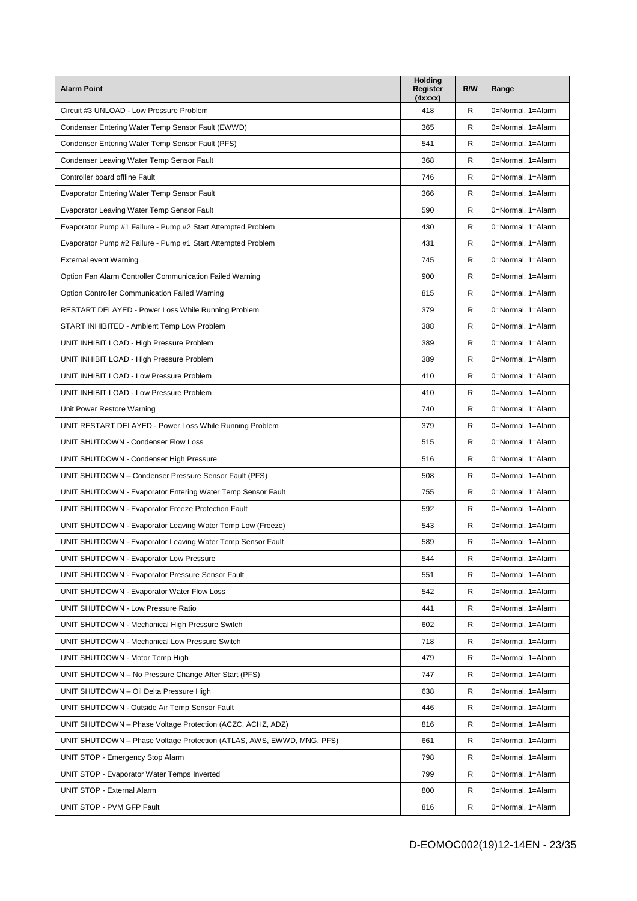| <b>Alarm Point</b>                                                    | <b>Holding</b><br>Register<br>(4xxxx) | R/W | Range             |
|-----------------------------------------------------------------------|---------------------------------------|-----|-------------------|
| Circuit #3 UNLOAD - Low Pressure Problem                              | 418                                   | R   | 0=Normal, 1=Alarm |
| Condenser Entering Water Temp Sensor Fault (EWWD)                     | 365                                   | R   | 0=Normal, 1=Alarm |
| Condenser Entering Water Temp Sensor Fault (PFS)                      | 541                                   | R   | 0=Normal, 1=Alarm |
| Condenser Leaving Water Temp Sensor Fault                             | 368                                   | R   | 0=Normal, 1=Alarm |
| Controller board offline Fault                                        | 746                                   | R   | 0=Normal, 1=Alarm |
| <b>Evaporator Entering Water Temp Sensor Fault</b>                    | 366                                   | R   | 0=Normal, 1=Alarm |
| <b>Evaporator Leaving Water Temp Sensor Fault</b>                     | 590                                   | R   | 0=Normal, 1=Alarm |
| Evaporator Pump #1 Failure - Pump #2 Start Attempted Problem          | 430                                   | R   | 0=Normal, 1=Alarm |
| Evaporator Pump #2 Failure - Pump #1 Start Attempted Problem          | 431                                   | R   | 0=Normal, 1=Alarm |
| <b>External event Warning</b>                                         | 745                                   | R   | 0=Normal, 1=Alarm |
| Option Fan Alarm Controller Communication Failed Warning              | 900                                   | R   | 0=Normal, 1=Alarm |
| Option Controller Communication Failed Warning                        | 815                                   | R   | 0=Normal, 1=Alarm |
| RESTART DELAYED - Power Loss While Running Problem                    | 379                                   | R   | 0=Normal, 1=Alarm |
| START INHIBITED - Ambient Temp Low Problem                            | 388                                   | R   | 0=Normal, 1=Alarm |
| UNIT INHIBIT LOAD - High Pressure Problem                             | 389                                   | R   | 0=Normal, 1=Alarm |
| UNIT INHIBIT LOAD - High Pressure Problem                             | 389                                   | R   | 0=Normal, 1=Alarm |
| UNIT INHIBIT LOAD - Low Pressure Problem                              | 410                                   | R   | 0=Normal, 1=Alarm |
| UNIT INHIBIT LOAD - Low Pressure Problem                              | 410                                   | R   | 0=Normal, 1=Alarm |
| Unit Power Restore Warning                                            | 740                                   | R   | 0=Normal, 1=Alarm |
| UNIT RESTART DELAYED - Power Loss While Running Problem               | 379                                   | R   | 0=Normal, 1=Alarm |
| UNIT SHUTDOWN - Condenser Flow Loss                                   | 515                                   | R   | 0=Normal, 1=Alarm |
| UNIT SHUTDOWN - Condenser High Pressure                               | 516                                   | R   | 0=Normal, 1=Alarm |
| UNIT SHUTDOWN - Condenser Pressure Sensor Fault (PFS)                 | 508                                   | R   | 0=Normal, 1=Alarm |
| UNIT SHUTDOWN - Evaporator Entering Water Temp Sensor Fault           | 755                                   | R   | 0=Normal, 1=Alarm |
| UNIT SHUTDOWN - Evaporator Freeze Protection Fault                    | 592                                   | R   | 0=Normal, 1=Alarm |
| UNIT SHUTDOWN - Evaporator Leaving Water Temp Low (Freeze)            | 543                                   | R   | 0=Normal, 1=Alarm |
| UNIT SHUTDOWN - Evaporator Leaving Water Temp Sensor Fault            | 589                                   | R   | 0=Normal, 1=Alarm |
| UNIT SHUTDOWN - Evaporator Low Pressure                               | 544                                   | R   | 0=Normal, 1=Alarm |
| UNIT SHUTDOWN - Evaporator Pressure Sensor Fault                      | 551                                   | R   | 0=Normal, 1=Alarm |
| UNIT SHUTDOWN - Evaporator Water Flow Loss                            | 542                                   | R   | 0=Normal, 1=Alarm |
| UNIT SHUTDOWN - Low Pressure Ratio                                    | 441                                   | R   | 0=Normal, 1=Alarm |
| UNIT SHUTDOWN - Mechanical High Pressure Switch                       | 602                                   | R   | 0=Normal, 1=Alarm |
| UNIT SHUTDOWN - Mechanical Low Pressure Switch                        | 718                                   | R   | 0=Normal, 1=Alarm |
| UNIT SHUTDOWN - Motor Temp High                                       | 479                                   | R   | 0=Normal, 1=Alarm |
| UNIT SHUTDOWN - No Pressure Change After Start (PFS)                  | 747                                   | R   | 0=Normal, 1=Alarm |
| UNIT SHUTDOWN – Oil Delta Pressure High                               | 638                                   | R   | 0=Normal, 1=Alarm |
| UNIT SHUTDOWN - Outside Air Temp Sensor Fault                         | 446                                   | R   | 0=Normal, 1=Alarm |
| UNIT SHUTDOWN - Phase Voltage Protection (ACZC, ACHZ, ADZ)            | 816                                   | R   | 0=Normal, 1=Alarm |
| UNIT SHUTDOWN - Phase Voltage Protection (ATLAS, AWS, EWWD, MNG, PFS) | 661                                   | R   | 0=Normal, 1=Alarm |
| UNIT STOP - Emergency Stop Alarm                                      | 798                                   | R   | 0=Normal, 1=Alarm |
| UNIT STOP - Evaporator Water Temps Inverted                           | 799                                   | R   | 0=Normal, 1=Alarm |
| <b>UNIT STOP - External Alarm</b>                                     | 800                                   | R   | 0=Normal, 1=Alarm |
| UNIT STOP - PVM GFP Fault                                             | 816                                   | R   | 0=Normal, 1=Alarm |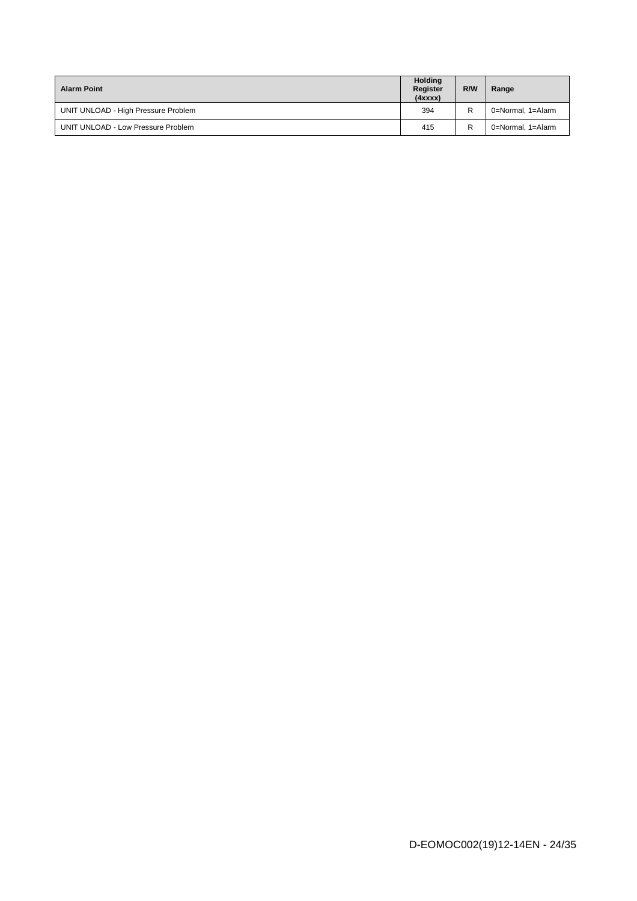| <b>Alarm Point</b>                  | <b>Holding</b><br>Register<br>(4xxxx) | R/W | Range             |
|-------------------------------------|---------------------------------------|-----|-------------------|
| UNIT UNLOAD - High Pressure Problem | 394                                   | R   | 0=Normal, 1=Alarm |
| UNIT UNLOAD - Low Pressure Problem  | 415                                   | R   | 0=Normal, 1=Alarm |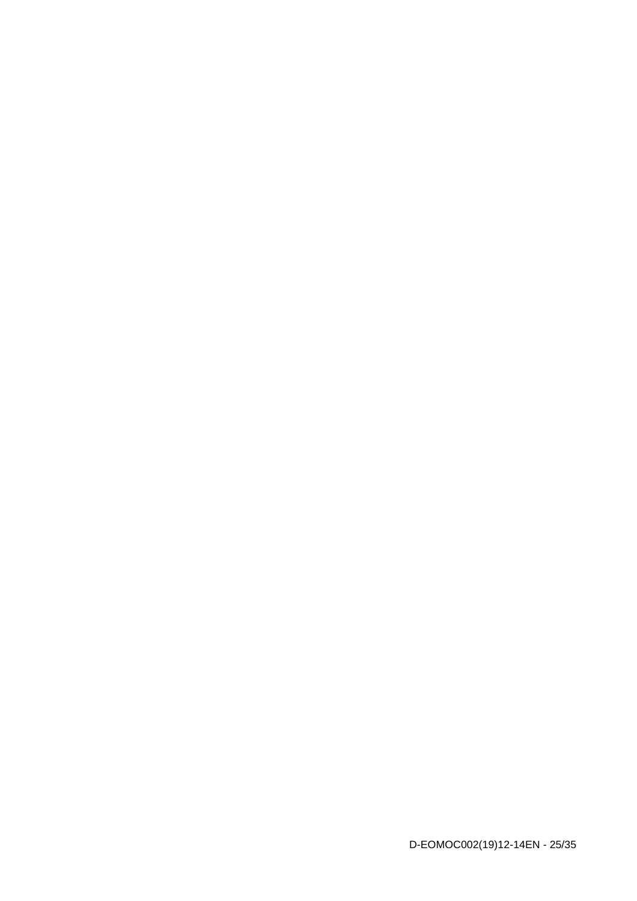D-EOMOC002(19)12-14EN - 25/35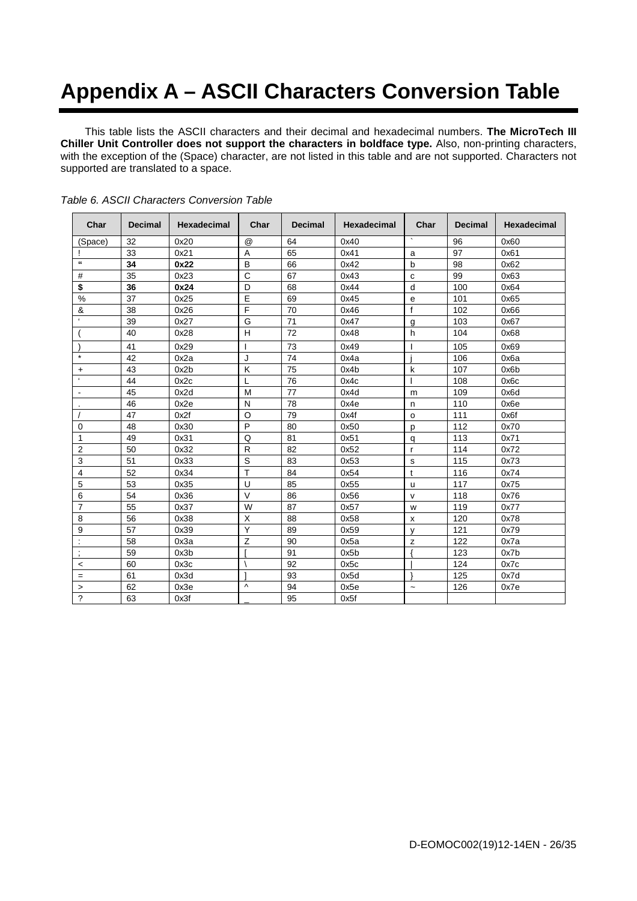# **Appendix A – ASCII Characters Conversion Table**

This table lists the ASCII characters and their decimal and hexadecimal numbers. **The MicroTech III Chiller Unit Controller does not support the characters in boldface type.** Also, non-printing characters, with the exception of the (Space) character, are not listed in this table and are not supported. Characters not supported are translated to a space.

| Char               | <b>Decimal</b> | <b>Hexadecimal</b> | Char            | <b>Decimal</b> | Hexadecimal | Char         | <b>Decimal</b> | <b>Hexadecimal</b> |
|--------------------|----------------|--------------------|-----------------|----------------|-------------|--------------|----------------|--------------------|
| (Space)            | 32             | 0x20               | $^{\copyright}$ | 64             | 0x40        |              | 96             | 0x60               |
|                    | 33             | 0x21               | A               | 65             | 0x41        | a            | 97             | 0x61               |
| $\epsilon\epsilon$ | 34             | 0x22               | B               | 66             | 0x42        | b            | 98             | 0x62               |
| #                  | 35             | 0x23               | C               | 67             | 0x43        | $\mathbf{C}$ | 99             | 0x63               |
| \$                 | 36             | 0x24               | D               | 68             | 0x44        | d            | 100            | 0x64               |
| %                  | 37             | 0x25               | E               | 69             | 0x45        | е            | 101            | 0x65               |
| &                  | 38             | 0x26               | F               | 70             | 0x46        | $\mathbf{f}$ | 102            | 0x66               |
| $\epsilon$         | 39             | 0x27               | G               | 71             | 0x47        | g            | 103            | 0x67               |
|                    | 40             | 0x28               | H               | 72             | 0x48        | h            | 104            | 0x68               |
|                    | 41             | 0x29               | $\mathbf{I}$    | 73             | 0x49        |              | 105            | 0x69               |
| $\star$            | 42             | 0x2a               | J               | 74             | 0x4a        |              | 106            | 0x6a               |
| $\ddot{}$          | 43             | 0x2b               | K               | 75             | 0x4b        | k            | 107            | 0x6b               |
| $\epsilon$         | 44             | 0x2c               | L               | 76             | 0x4c        |              | 108            | 0x6c               |
| $\blacksquare$     | 45             | 0x2d               | M               | 77             | 0x4d        | m            | 109            | 0x6d               |
|                    | 46             | 0x2e               | N               | 78             | 0x4e        | n            | 110            | 0x6e               |
|                    | 47             | 0x2f               | $\circ$         | 79             | 0x4f        | $\circ$      | 111            | 0x6f               |
| 0                  | 48             | 0x30               | P               | 80             | 0x50        | D            | 112            | 0x70               |
| 1                  | 49             | 0x31               | Q               | 81             | 0x51        | q            | 113            | 0x71               |
| $\overline{2}$     | 50             | 0x32               | $\mathsf{R}$    | 82             | 0x52        | r            | 114            | 0x72               |
| 3                  | 51             | 0x33               | S               | 83             | 0x53        | s            | 115            | 0x73               |
| 4                  | 52             | 0x34               | $\mathsf{T}$    | 84             | 0x54        | $\mathbf t$  | 116            | 0x74               |
| 5                  | 53             | 0x35               | U               | 85             | 0x55        | u            | 117            | 0x75               |
| 6                  | 54             | 0x36               | $\vee$          | 86             | 0x56        | $\mathsf{V}$ | 118            | 0x76               |
| $\overline{7}$     | 55             | 0x37               | W               | 87             | 0x57        | W            | 119            | 0x77               |
| 8                  | 56             | 0x38               | X               | 88             | 0x58        | X            | 120            | 0x78               |
| 9                  | 57             | 0x39               | Y               | 89             | 0x59        | $\mathsf{V}$ | 121            | 0x79               |
|                    | 58             | 0x3a               | Z               | 90             | 0x5a        | z            | 122            | 0x7a               |
|                    | 59             | 0x3b               |                 | 91             | 0x5b        |              | 123            | 0x7b               |
| $\,<\,$            | 60             | 0x3c               |                 | 92             | 0x5c        |              | 124            | 0x7c               |
| $=$                | 61             | 0x3d               | -1              | 93             | 0x5d        |              | 125            | 0x7d               |
| $\, > \,$          | 62             | 0x3e               | Λ               | 94             | 0x5e        | $\tilde{}$   | 126            | 0x7e               |
| $\gamma$           | 63             | 0x3f               |                 | 95             | 0x5f        |              |                |                    |

#### Table 6. ASCII Characters Conversion Table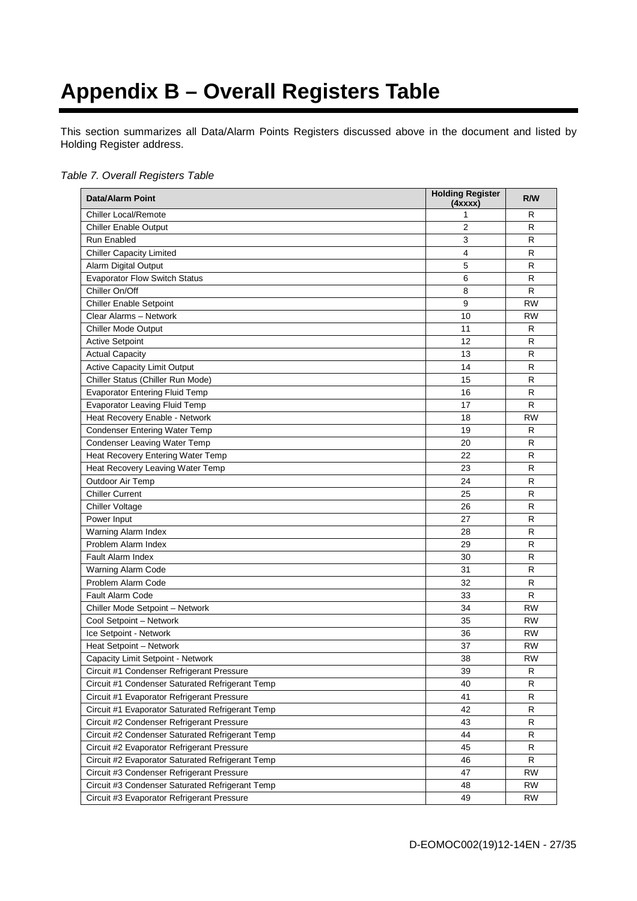# **Appendix B – Overall Registers Table**

This section summarizes all Data/Alarm Points Registers discussed above in the document and listed by Holding Register address.

#### Table 7. Overall Registers Table

| <b>Data/Alarm Point</b>                          | <b>Holding Register</b><br>(4xxxx) | R/W          |
|--------------------------------------------------|------------------------------------|--------------|
| <b>Chiller Local/Remote</b>                      | 1                                  | R            |
| <b>Chiller Enable Output</b>                     | 2                                  | R            |
| Run Enabled                                      | 3                                  | $\mathsf{R}$ |
| <b>Chiller Capacity Limited</b>                  | $\overline{\mathbf{4}}$            | $\mathsf{R}$ |
| Alarm Digital Output                             | 5                                  | $\mathsf{R}$ |
| <b>Evaporator Flow Switch Status</b>             | 6                                  | R            |
| Chiller On/Off                                   | 8                                  | R            |
| <b>Chiller Enable Setpoint</b>                   | 9                                  | <b>RW</b>    |
| Clear Alarms - Network                           | 10                                 | <b>RW</b>    |
| <b>Chiller Mode Output</b>                       | 11                                 | R            |
| <b>Active Setpoint</b>                           | 12                                 | R            |
| <b>Actual Capacity</b>                           | 13                                 | R            |
| <b>Active Capacity Limit Output</b>              | 14                                 | R            |
| Chiller Status (Chiller Run Mode)                | 15                                 | $\mathsf{R}$ |
| <b>Evaporator Entering Fluid Temp</b>            | 16                                 | R            |
| <b>Evaporator Leaving Fluid Temp</b>             | 17                                 | R            |
| Heat Recovery Enable - Network                   | 18                                 | <b>RW</b>    |
| <b>Condenser Entering Water Temp</b>             | 19                                 | R            |
| Condenser Leaving Water Temp                     | 20                                 | R            |
| Heat Recovery Entering Water Temp                | 22                                 | R            |
| Heat Recovery Leaving Water Temp                 | 23                                 | R            |
| Outdoor Air Temp                                 | 24                                 | R            |
| <b>Chiller Current</b>                           | 25                                 | R            |
| <b>Chiller Voltage</b>                           | 26                                 | R            |
| Power Input                                      | 27                                 | R            |
| Warning Alarm Index                              | 28                                 | R            |
| Problem Alarm Index                              | 29                                 | R            |
| <b>Fault Alarm Index</b>                         | 30                                 | R            |
| Warning Alarm Code                               | 31                                 | R            |
| Problem Alarm Code                               | 32                                 | R            |
| <b>Fault Alarm Code</b>                          | 33                                 | $\mathsf{R}$ |
| Chiller Mode Setpoint - Network                  | 34                                 | <b>RW</b>    |
| Cool Setpoint - Network                          | 35                                 | <b>RW</b>    |
| Ice Setpoint - Network                           | 36                                 | <b>RW</b>    |
| Heat Setpoint - Network                          | 37                                 | <b>RW</b>    |
| Capacity Limit Setpoint - Network                | 38                                 | <b>RW</b>    |
| Circuit #1 Condenser Refrigerant Pressure        | 39                                 | R            |
| Circuit #1 Condenser Saturated Refrigerant Temp  | 40                                 | R            |
| Circuit #1 Evaporator Refrigerant Pressure       | 41                                 | R            |
| Circuit #1 Evaporator Saturated Refrigerant Temp | 42                                 | R            |
| Circuit #2 Condenser Refrigerant Pressure        | 43                                 | R            |
| Circuit #2 Condenser Saturated Refrigerant Temp  | 44                                 | R            |
| Circuit #2 Evaporator Refrigerant Pressure       | 45                                 | R            |
| Circuit #2 Evaporator Saturated Refrigerant Temp | 46                                 | R            |
| Circuit #3 Condenser Refrigerant Pressure        | 47                                 | <b>RW</b>    |
| Circuit #3 Condenser Saturated Refrigerant Temp  | 48                                 | <b>RW</b>    |
| Circuit #3 Evaporator Refrigerant Pressure       | 49                                 | <b>RW</b>    |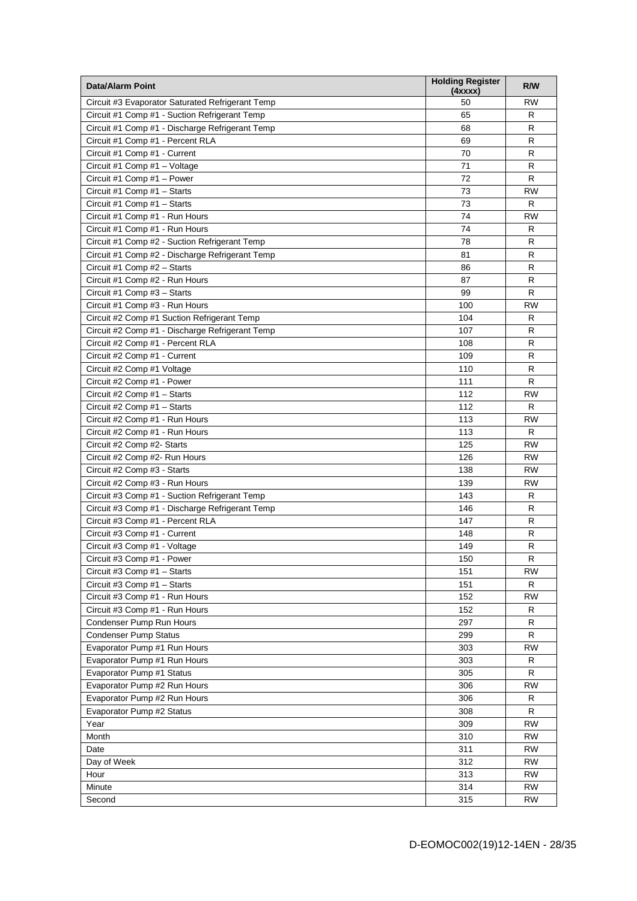| <b>Data/Alarm Point</b>                          | <b>Holding Register</b><br>(4xxxx) | R/W          |
|--------------------------------------------------|------------------------------------|--------------|
| Circuit #3 Evaporator Saturated Refrigerant Temp | 50                                 | <b>RW</b>    |
| Circuit #1 Comp #1 - Suction Refrigerant Temp    | 65                                 | R            |
| Circuit #1 Comp #1 - Discharge Refrigerant Temp  | 68                                 | R            |
| Circuit #1 Comp #1 - Percent RLA                 | 69                                 | R            |
| Circuit #1 Comp #1 - Current                     | 70                                 | R            |
| Circuit #1 Comp #1 - Voltage                     | 71                                 | R            |
| Circuit #1 Comp #1 - Power                       | 72                                 | R            |
| Circuit #1 Comp #1 - Starts                      | 73                                 | <b>RW</b>    |
| Circuit #1 Comp #1 - Starts                      | 73                                 | R            |
| Circuit #1 Comp #1 - Run Hours                   | 74                                 | <b>RW</b>    |
| Circuit #1 Comp #1 - Run Hours                   | 74                                 | R            |
| Circuit #1 Comp #2 - Suction Refrigerant Temp    | 78                                 | R            |
| Circuit #1 Comp #2 - Discharge Refrigerant Temp  | 81                                 | R            |
| Circuit #1 Comp #2 - Starts                      | 86                                 | R            |
| Circuit #1 Comp #2 - Run Hours                   | 87                                 | R            |
| Circuit #1 Comp #3 - Starts                      | 99                                 | R            |
| Circuit #1 Comp #3 - Run Hours                   | 100                                | <b>RW</b>    |
| Circuit #2 Comp #1 Suction Refrigerant Temp      | 104                                | R            |
| Circuit #2 Comp #1 - Discharge Refrigerant Temp  | 107                                | R            |
| Circuit #2 Comp #1 - Percent RLA                 | 108                                | R            |
| Circuit #2 Comp #1 - Current                     | 109                                | R            |
| Circuit #2 Comp #1 Voltage                       | 110                                | R            |
| Circuit #2 Comp #1 - Power                       | 111                                | R            |
| Circuit #2 Comp #1 - Starts                      | 112                                | <b>RW</b>    |
| Circuit #2 Comp #1 - Starts                      | 112                                | R            |
| Circuit #2 Comp #1 - Run Hours                   | 113                                | <b>RW</b>    |
| Circuit #2 Comp #1 - Run Hours                   | 113                                | R            |
| Circuit #2 Comp #2- Starts                       | 125                                | <b>RW</b>    |
| Circuit #2 Comp #2- Run Hours                    | 126                                | <b>RW</b>    |
| Circuit #2 Comp #3 - Starts                      | 138                                | <b>RW</b>    |
| Circuit #2 Comp #3 - Run Hours                   | 139                                | <b>RW</b>    |
| Circuit #3 Comp #1 - Suction Refrigerant Temp    | 143                                | R            |
| Circuit #3 Comp #1 - Discharge Refrigerant Temp  | 146                                | R            |
| Circuit #3 Comp #1 - Percent RLA                 | 147                                | R            |
| Circuit #3 Comp #1 - Current                     | 148                                | $\mathsf{R}$ |
| Circuit #3 Comp #1 - Voltage                     | 149                                | R            |
| Circuit #3 Comp #1 - Power                       | 150                                | R            |
| Circuit #3 Comp #1 - Starts                      | 151                                | <b>RW</b>    |
| Circuit #3 Comp #1 - Starts                      | 151                                | R            |
| Circuit #3 Comp #1 - Run Hours                   | 152                                | RW           |
| Circuit #3 Comp #1 - Run Hours                   | 152                                | R            |
| Condenser Pump Run Hours                         | 297                                | R            |
| <b>Condenser Pump Status</b>                     | 299                                | R            |
| Evaporator Pump #1 Run Hours                     | 303                                | <b>RW</b>    |
| Evaporator Pump #1 Run Hours                     | 303                                | R            |
| Evaporator Pump #1 Status                        | 305                                | R            |
| Evaporator Pump #2 Run Hours                     | 306                                | RW           |
| Evaporator Pump #2 Run Hours                     | 306                                | R            |
| Evaporator Pump #2 Status                        | 308                                | R.           |
| Year                                             | 309                                | RW           |
| Month                                            | 310                                | <b>RW</b>    |
| Date                                             | 311                                | <b>RW</b>    |
| Day of Week                                      | 312                                | <b>RW</b>    |
| Hour                                             | 313                                | <b>RW</b>    |
| Minute                                           | 314                                | <b>RW</b>    |
| Second                                           | 315                                | <b>RW</b>    |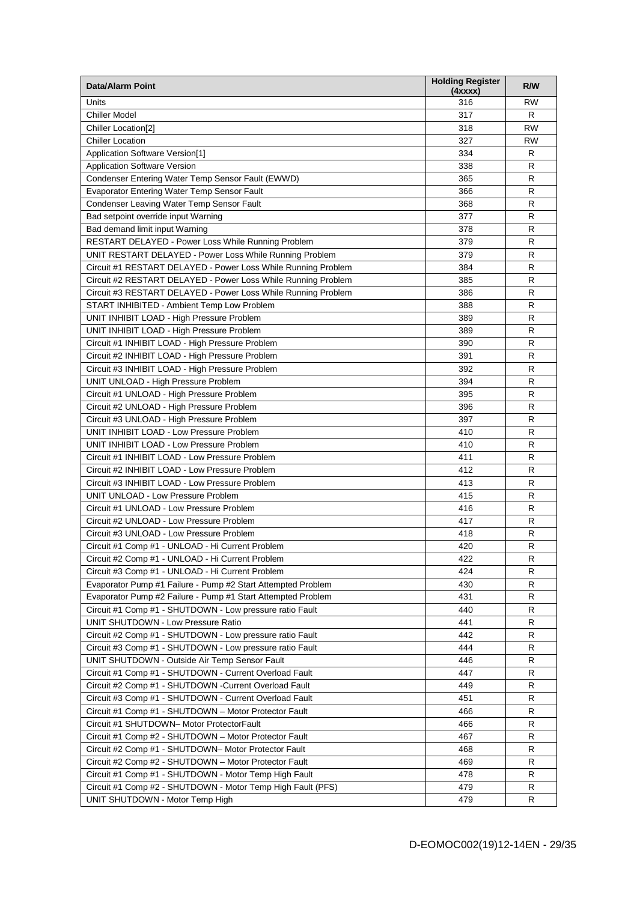| <b>Data/Alarm Point</b>                                       | <b>Holding Register</b><br>(4xxxx) | R/W          |
|---------------------------------------------------------------|------------------------------------|--------------|
| Units                                                         | 316                                | <b>RW</b>    |
| <b>Chiller Model</b>                                          | 317                                | R            |
| Chiller Location[2]                                           | 318                                | <b>RW</b>    |
| <b>Chiller Location</b>                                       | 327                                | <b>RW</b>    |
| Application Software Version[1]                               | 334                                | R            |
| <b>Application Software Version</b>                           | 338                                | R.           |
| Condenser Entering Water Temp Sensor Fault (EWWD)             | 365                                | R            |
| Evaporator Entering Water Temp Sensor Fault                   | 366                                | R            |
| Condenser Leaving Water Temp Sensor Fault                     | 368                                | R            |
| Bad setpoint override input Warning                           | 377                                | R            |
| Bad demand limit input Warning                                | 378                                | R            |
| RESTART DELAYED - Power Loss While Running Problem            | 379                                | R            |
| UNIT RESTART DELAYED - Power Loss While Running Problem       | 379                                | R            |
| Circuit #1 RESTART DELAYED - Power Loss While Running Problem | 384                                | R            |
| Circuit #2 RESTART DELAYED - Power Loss While Running Problem | 385                                | R            |
| Circuit #3 RESTART DELAYED - Power Loss While Running Problem | 386                                | R            |
| START INHIBITED - Ambient Temp Low Problem                    | 388                                | R            |
| UNIT INHIBIT LOAD - High Pressure Problem                     | 389                                | $\mathsf{R}$ |
| UNIT INHIBIT LOAD - High Pressure Problem                     | 389                                | R            |
| Circuit #1 INHIBIT LOAD - High Pressure Problem               | 390                                | R            |
| Circuit #2 INHIBIT LOAD - High Pressure Problem               | 391                                | $\mathsf{R}$ |
| Circuit #3 INHIBIT LOAD - High Pressure Problem               | 392                                | R            |
| UNIT UNLOAD - High Pressure Problem                           | 394                                | R            |
| Circuit #1 UNLOAD - High Pressure Problem                     | 395                                | R            |
| Circuit #2 UNLOAD - High Pressure Problem                     | 396                                | R            |
| Circuit #3 UNLOAD - High Pressure Problem                     | 397                                | R            |
| UNIT INHIBIT LOAD - Low Pressure Problem                      | 410                                | R            |
| UNIT INHIBIT LOAD - Low Pressure Problem                      | 410                                | R            |
| Circuit #1 INHIBIT LOAD - Low Pressure Problem                | 411                                | R            |
| Circuit #2 INHIBIT LOAD - Low Pressure Problem                | 412                                | R            |
| Circuit #3 INHIBIT LOAD - Low Pressure Problem                | 413                                | R            |
| UNIT UNLOAD - Low Pressure Problem                            | 415                                | R            |
| Circuit #1 UNLOAD - Low Pressure Problem                      | 416                                | R            |
| Circuit #2 UNLOAD - Low Pressure Problem                      | 417                                | R            |
| Circuit #3 UNLOAD - Low Pressure Problem                      | 418                                | R            |
| Circuit #1 Comp #1 - UNLOAD - Hi Current Problem              | 420                                | $\mathsf{R}$ |
| Circuit #2 Comp #1 - UNLOAD - Hi Current Problem              | 422                                | R            |
| Circuit #3 Comp #1 - UNLOAD - Hi Current Problem              | 424                                | R            |
| Evaporator Pump #1 Failure - Pump #2 Start Attempted Problem  | 430                                | R            |
| Evaporator Pump #2 Failure - Pump #1 Start Attempted Problem  | 431                                | R            |
| Circuit #1 Comp #1 - SHUTDOWN - Low pressure ratio Fault      | 440                                | R            |
| UNIT SHUTDOWN - Low Pressure Ratio                            | 441                                | R            |
| Circuit #2 Comp #1 - SHUTDOWN - Low pressure ratio Fault      | 442                                | R            |
| Circuit #3 Comp #1 - SHUTDOWN - Low pressure ratio Fault      | 444                                | R            |
| UNIT SHUTDOWN - Outside Air Temp Sensor Fault                 | 446                                | R            |
| Circuit #1 Comp #1 - SHUTDOWN - Current Overload Fault        | 447                                | R            |
| Circuit #2 Comp #1 - SHUTDOWN - Current Overload Fault        | 449                                | R            |
| Circuit #3 Comp #1 - SHUTDOWN - Current Overload Fault        | 451                                | R            |
| Circuit #1 Comp #1 - SHUTDOWN - Motor Protector Fault         | 466                                | R            |
| Circuit #1 SHUTDOWN- Motor ProtectorFault                     | 466                                | R            |
| Circuit #1 Comp #2 - SHUTDOWN - Motor Protector Fault         | 467                                | R            |
| Circuit #2 Comp #1 - SHUTDOWN- Motor Protector Fault          | 468                                | R            |
| Circuit #2 Comp #2 - SHUTDOWN - Motor Protector Fault         | 469                                | R            |
| Circuit #1 Comp #1 - SHUTDOWN - Motor Temp High Fault         | 478                                | R            |
| Circuit #1 Comp #2 - SHUTDOWN - Motor Temp High Fault (PFS)   | 479                                | R            |
| UNIT SHUTDOWN - Motor Temp High                               | 479                                | R.           |
|                                                               |                                    |              |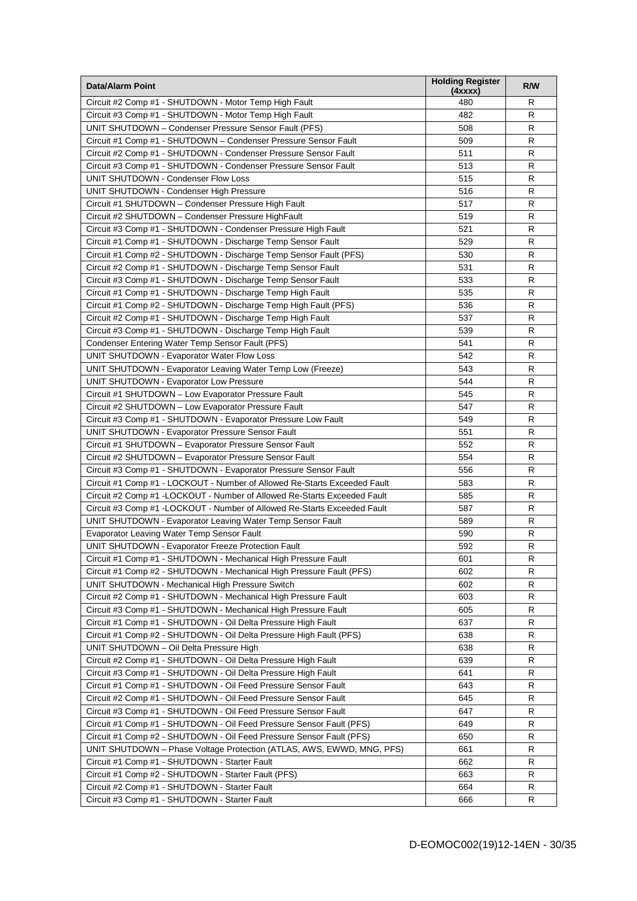| <b>Data/Alarm Point</b>                                                   | <b>Holding Register</b><br>(4xxxx) | R/W          |
|---------------------------------------------------------------------------|------------------------------------|--------------|
| Circuit #2 Comp #1 - SHUTDOWN - Motor Temp High Fault                     | 480                                | R            |
| Circuit #3 Comp #1 - SHUTDOWN - Motor Temp High Fault                     | 482                                | R            |
| UNIT SHUTDOWN – Condenser Pressure Sensor Fault (PFS)                     | 508                                | R            |
| Circuit #1 Comp #1 - SHUTDOWN - Condenser Pressure Sensor Fault           | 509                                | R            |
| Circuit #2 Comp #1 - SHUTDOWN - Condenser Pressure Sensor Fault           | 511                                | $\mathsf{R}$ |
| Circuit #3 Comp #1 - SHUTDOWN - Condenser Pressure Sensor Fault           | 513                                | R            |
| UNIT SHUTDOWN - Condenser Flow Loss                                       | 515                                | R            |
| UNIT SHUTDOWN - Condenser High Pressure                                   | 516                                | R            |
| Circuit #1 SHUTDOWN - Condenser Pressure High Fault                       | 517                                | R            |
| Circuit #2 SHUTDOWN - Condenser Pressure HighFault                        | 519                                | R            |
| Circuit #3 Comp #1 - SHUTDOWN - Condenser Pressure High Fault             | 521                                | R            |
| Circuit #1 Comp #1 - SHUTDOWN - Discharge Temp Sensor Fault               | 529                                | R            |
| Circuit #1 Comp #2 - SHUTDOWN - Discharge Temp Sensor Fault (PFS)         | 530                                | R            |
| Circuit #2 Comp #1 - SHUTDOWN - Discharge Temp Sensor Fault               | 531                                | R            |
| Circuit #3 Comp #1 - SHUTDOWN - Discharge Temp Sensor Fault               | 533                                | R            |
| Circuit #1 Comp #1 - SHUTDOWN - Discharge Temp High Fault                 | 535                                | R            |
| Circuit #1 Comp #2 - SHUTDOWN - Discharge Temp High Fault (PFS)           | 536                                | R            |
| Circuit #2 Comp #1 - SHUTDOWN - Discharge Temp High Fault                 | 537                                | R            |
| Circuit #3 Comp #1 - SHUTDOWN - Discharge Temp High Fault                 | 539                                | R            |
| Condenser Entering Water Temp Sensor Fault (PFS)                          | 541                                | R            |
| UNIT SHUTDOWN - Evaporator Water Flow Loss                                | 542                                | R            |
| UNIT SHUTDOWN - Evaporator Leaving Water Temp Low (Freeze)                | 543                                | R            |
| UNIT SHUTDOWN - Evaporator Low Pressure                                   | 544                                | R            |
| Circuit #1 SHUTDOWN - Low Evaporator Pressure Fault                       | 545                                | R            |
| Circuit #2 SHUTDOWN - Low Evaporator Pressure Fault                       | 547                                | R            |
| Circuit #3 Comp #1 - SHUTDOWN - Evaporator Pressure Low Fault             | 549                                | R            |
| UNIT SHUTDOWN - Evaporator Pressure Sensor Fault                          | 551                                | R            |
| Circuit #1 SHUTDOWN - Evaporator Pressure Sensor Fault                    | 552                                | $\mathsf{R}$ |
| Circuit #2 SHUTDOWN - Evaporator Pressure Sensor Fault                    | 554                                | $\mathsf{R}$ |
| Circuit #3 Comp #1 - SHUTDOWN - Evaporator Pressure Sensor Fault          | 556                                | R            |
| Circuit #1 Comp #1 - LOCKOUT - Number of Allowed Re-Starts Exceeded Fault | 583                                | R            |
| Circuit #2 Comp #1 - LOCKOUT - Number of Allowed Re-Starts Exceeded Fault | 585                                | R            |
| Circuit #3 Comp #1 - LOCKOUT - Number of Allowed Re-Starts Exceeded Fault | 587                                | R            |
| UNIT SHUTDOWN - Evaporator Leaving Water Temp Sensor Fault                | 589                                | R            |
| Evaporator Leaving Water Temp Sensor Fault                                | 590                                | R            |
| UNIT SHUTDOWN - Evaporator Freeze Protection Fault                        | 592                                | R            |
| Circuit #1 Comp #1 - SHUTDOWN - Mechanical High Pressure Fault            | 601                                | R            |
| Circuit #1 Comp #2 - SHUTDOWN - Mechanical High Pressure Fault (PFS)      | 602                                | R            |
| UNIT SHUTDOWN - Mechanical High Pressure Switch                           | 602                                | R            |
| Circuit #2 Comp #1 - SHUTDOWN - Mechanical High Pressure Fault            | 603                                | R            |
| Circuit #3 Comp #1 - SHUTDOWN - Mechanical High Pressure Fault            | 605                                | R            |
| Circuit #1 Comp #1 - SHUTDOWN - Oil Delta Pressure High Fault             | 637                                | R            |
| Circuit #1 Comp #2 - SHUTDOWN - Oil Delta Pressure High Fault (PFS)       | 638                                | R            |
| UNIT SHUTDOWN - Oil Delta Pressure High                                   | 638                                | R            |
| Circuit #2 Comp #1 - SHUTDOWN - Oil Delta Pressure High Fault             | 639                                | R            |
| Circuit #3 Comp #1 - SHUTDOWN - Oil Delta Pressure High Fault             | 641                                | R            |
| Circuit #1 Comp #1 - SHUTDOWN - Oil Feed Pressure Sensor Fault            | 643                                | R            |
| Circuit #2 Comp #1 - SHUTDOWN - Oil Feed Pressure Sensor Fault            | 645                                | R            |
| Circuit #3 Comp #1 - SHUTDOWN - Oil Feed Pressure Sensor Fault            | 647                                | R            |
| Circuit #1 Comp #1 - SHUTDOWN - Oil Feed Pressure Sensor Fault (PFS)      | 649                                | R            |
| Circuit #1 Comp #2 - SHUTDOWN - Oil Feed Pressure Sensor Fault (PFS)      | 650                                | R            |
| UNIT SHUTDOWN - Phase Voltage Protection (ATLAS, AWS, EWWD, MNG, PFS)     | 661                                | R            |
| Circuit #1 Comp #1 - SHUTDOWN - Starter Fault                             | 662                                | R            |
| Circuit #1 Comp #2 - SHUTDOWN - Starter Fault (PFS)                       | 663                                | R            |
| Circuit #2 Comp #1 - SHUTDOWN - Starter Fault                             | 664                                | R            |
| Circuit #3 Comp #1 - SHUTDOWN - Starter Fault                             | 666                                | R.           |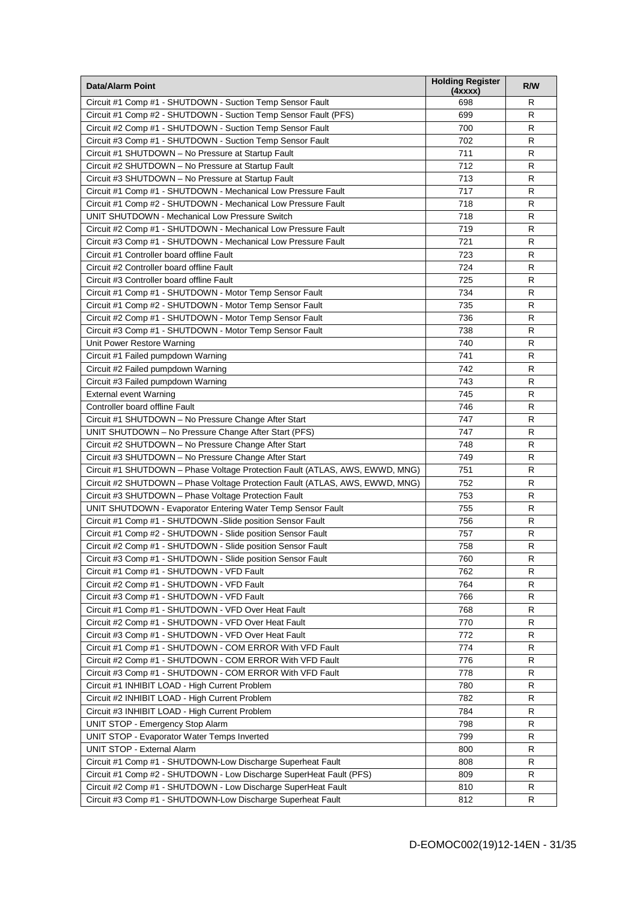| Data/Alarm Point                                                                       | <b>Holding Register</b><br>(4xxxx) | R/W          |
|----------------------------------------------------------------------------------------|------------------------------------|--------------|
| Circuit #1 Comp #1 - SHUTDOWN - Suction Temp Sensor Fault                              | 698                                | R            |
| Circuit #1 Comp #2 - SHUTDOWN - Suction Temp Sensor Fault (PFS)                        | 699                                | R            |
| Circuit #2 Comp #1 - SHUTDOWN - Suction Temp Sensor Fault                              | 700                                | R            |
| Circuit #3 Comp #1 - SHUTDOWN - Suction Temp Sensor Fault                              | 702                                | R            |
| Circuit #1 SHUTDOWN - No Pressure at Startup Fault                                     | 711                                | R            |
| Circuit #2 SHUTDOWN - No Pressure at Startup Fault                                     | 712                                | R            |
| Circuit #3 SHUTDOWN - No Pressure at Startup Fault                                     | 713                                | R            |
| Circuit #1 Comp #1 - SHUTDOWN - Mechanical Low Pressure Fault                          | 717                                | R            |
| Circuit #1 Comp #2 - SHUTDOWN - Mechanical Low Pressure Fault                          | 718                                | R            |
| UNIT SHUTDOWN - Mechanical Low Pressure Switch                                         | 718                                | R            |
| Circuit #2 Comp #1 - SHUTDOWN - Mechanical Low Pressure Fault                          | 719                                | R            |
| Circuit #3 Comp #1 - SHUTDOWN - Mechanical Low Pressure Fault                          | 721                                | R            |
| Circuit #1 Controller board offline Fault                                              | 723                                | R            |
| Circuit #2 Controller board offline Fault                                              | 724                                | R            |
| Circuit #3 Controller board offline Fault                                              | 725                                | R            |
| Circuit #1 Comp #1 - SHUTDOWN - Motor Temp Sensor Fault                                | 734                                | R            |
| Circuit #1 Comp #2 - SHUTDOWN - Motor Temp Sensor Fault                                | 735                                | R            |
| Circuit #2 Comp #1 - SHUTDOWN - Motor Temp Sensor Fault                                | 736                                | R            |
| Circuit #3 Comp #1 - SHUTDOWN - Motor Temp Sensor Fault                                | 738                                | R            |
| Unit Power Restore Warning                                                             | 740                                | R            |
| Circuit #1 Failed pumpdown Warning                                                     | 741                                | R            |
| Circuit #2 Failed pumpdown Warning                                                     | 742                                | R            |
| Circuit #3 Failed pumpdown Warning                                                     | 743                                | R            |
| External event Warning                                                                 | 745                                | R            |
| Controller board offline Fault                                                         | 746                                | R            |
| Circuit #1 SHUTDOWN - No Pressure Change After Start                                   | 747                                | R            |
| UNIT SHUTDOWN - No Pressure Change After Start (PFS)                                   | 747                                | R            |
| Circuit #2 SHUTDOWN - No Pressure Change After Start                                   | 748                                | R            |
| Circuit #3 SHUTDOWN - No Pressure Change After Start                                   | 749                                | R            |
| Circuit #1 SHUTDOWN - Phase Voltage Protection Fault (ATLAS, AWS, EWWD, MNG)           | 751                                | R            |
| Circuit #2 SHUTDOWN - Phase Voltage Protection Fault (ATLAS, AWS, EWWD, MNG)           | 752                                | R            |
| Circuit #3 SHUTDOWN - Phase Voltage Protection Fault                                   | 753                                | R            |
| UNIT SHUTDOWN - Evaporator Entering Water Temp Sensor Fault                            | 755                                | R            |
| Circuit #1 Comp #1 - SHUTDOWN -Slide position Sensor Fault                             | 756                                | $\mathsf{R}$ |
| Circuit #1 Comp #2 - SHUTDOWN - Slide position Sensor Fault                            | 757                                | $\mathsf{R}$ |
| Circuit #2 Comp #1 - SHUTDOWN - Slide position Sensor Fault                            | 758                                | R            |
| Circuit #3 Comp #1 - SHUTDOWN - Slide position Sensor Fault                            | 760                                | R            |
| Circuit #1 Comp #1 - SHUTDOWN - VFD Fault<br>Circuit #2 Comp #1 - SHUTDOWN - VFD Fault | 762<br>764                         | R<br>R       |
| Circuit #3 Comp #1 - SHUTDOWN - VFD Fault                                              | 766                                | R            |
| Circuit #1 Comp #1 - SHUTDOWN - VFD Over Heat Fault                                    | 768                                | R            |
| Circuit #2 Comp #1 - SHUTDOWN - VFD Over Heat Fault                                    | 770                                | R            |
| Circuit #3 Comp #1 - SHUTDOWN - VFD Over Heat Fault                                    | 772                                | R            |
| Circuit #1 Comp #1 - SHUTDOWN - COM ERROR With VFD Fault                               | 774                                | R            |
| Circuit #2 Comp #1 - SHUTDOWN - COM ERROR With VFD Fault                               | 776                                | R            |
| Circuit #3 Comp #1 - SHUTDOWN - COM ERROR With VFD Fault                               | 778                                | R            |
| Circuit #1 INHIBIT LOAD - High Current Problem                                         | 780                                | R            |
| Circuit #2 INHIBIT LOAD - High Current Problem                                         | 782                                | R            |
| Circuit #3 INHIBIT LOAD - High Current Problem                                         | 784                                | R            |
| <b>UNIT STOP - Emergency Stop Alarm</b>                                                | 798                                | R            |
| UNIT STOP - Evaporator Water Temps Inverted                                            | 799                                | R            |
| <b>UNIT STOP - External Alarm</b>                                                      | 800                                | R            |
| Circuit #1 Comp #1 - SHUTDOWN-Low Discharge Superheat Fault                            | 808                                | R            |
| Circuit #1 Comp #2 - SHUTDOWN - Low Discharge SuperHeat Fault (PFS)                    | 809                                | R.           |
| Circuit #2 Comp #1 - SHUTDOWN - Low Discharge SuperHeat Fault                          | 810                                | R.           |
| Circuit #3 Comp #1 - SHUTDOWN-Low Discharge Superheat Fault                            | 812                                | R            |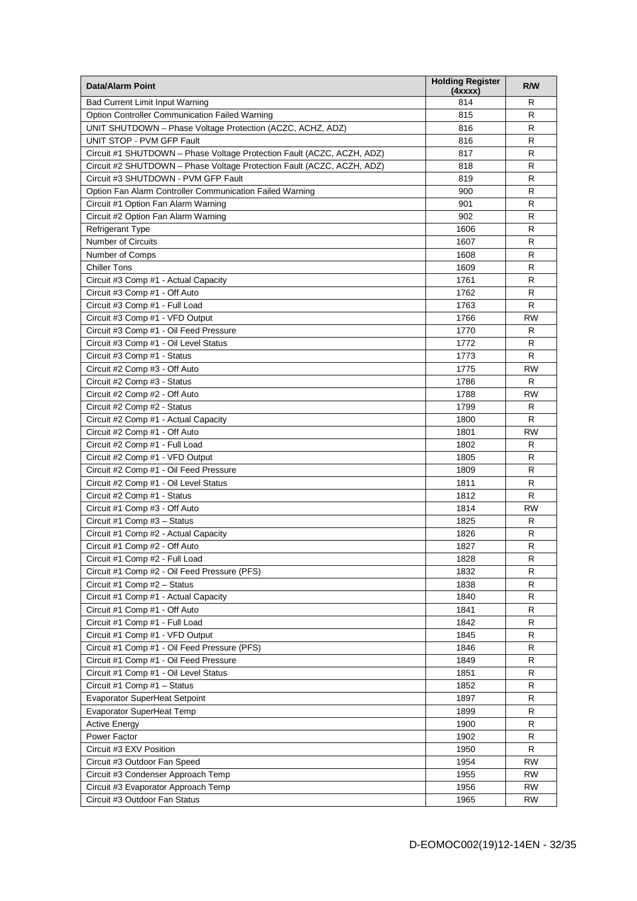| <b>Data/Alarm Point</b>                                                | <b>Holding Register</b><br>(4xxxx) | R/W          |
|------------------------------------------------------------------------|------------------------------------|--------------|
| <b>Bad Current Limit Input Warning</b>                                 | 814                                | R            |
| Option Controller Communication Failed Warning                         | 815                                | R.           |
| UNIT SHUTDOWN - Phase Voltage Protection (ACZC, ACHZ, ADZ)             | 816                                | R            |
| UNIT STOP - PVM GFP Fault                                              | 816                                | R            |
| Circuit #1 SHUTDOWN - Phase Voltage Protection Fault (ACZC, ACZH, ADZ) | 817                                | R            |
| Circuit #2 SHUTDOWN - Phase Voltage Protection Fault (ACZC, ACZH, ADZ) | 818                                | R            |
| Circuit #3 SHUTDOWN - PVM GFP Fault                                    | 819                                | R            |
| Option Fan Alarm Controller Communication Failed Warning               | 900                                | R            |
| Circuit #1 Option Fan Alarm Warning                                    | 901                                | R            |
| Circuit #2 Option Fan Alarm Warning                                    | 902                                | R            |
| <b>Refrigerant Type</b>                                                | 1606                               | R.           |
| Number of Circuits                                                     | 1607                               | R            |
| Number of Comps                                                        | 1608                               | R            |
| <b>Chiller Tons</b>                                                    | 1609                               | R            |
| Circuit #3 Comp #1 - Actual Capacity                                   | 1761                               | R            |
| Circuit #3 Comp #1 - Off Auto                                          | 1762                               | R            |
| Circuit #3 Comp #1 - Full Load                                         | 1763                               | R.           |
| Circuit #3 Comp #1 - VFD Output                                        | 1766                               | <b>RW</b>    |
| Circuit #3 Comp #1 - Oil Feed Pressure                                 | 1770                               | R            |
| Circuit #3 Comp #1 - Oil Level Status                                  | 1772                               | R            |
| Circuit #3 Comp #1 - Status                                            | 1773                               | R.           |
| Circuit #2 Comp #3 - Off Auto                                          | 1775                               | <b>RW</b>    |
| Circuit #2 Comp #3 - Status                                            | 1786                               | R            |
| Circuit #2 Comp #2 - Off Auto                                          | 1788                               | <b>RW</b>    |
| Circuit #2 Comp #2 - Status                                            | 1799                               | R            |
| Circuit #2 Comp #1 - Actual Capacity                                   | 1800                               | R            |
| Circuit #2 Comp #1 - Off Auto                                          | 1801                               | <b>RW</b>    |
| Circuit #2 Comp #1 - Full Load                                         | 1802                               | R            |
| Circuit #2 Comp #1 - VFD Output                                        | 1805                               | R            |
| Circuit #2 Comp #1 - Oil Feed Pressure                                 | 1809                               | R            |
| Circuit #2 Comp #1 - Oil Level Status                                  | 1811                               | R            |
| Circuit #2 Comp #1 - Status                                            | 1812                               | R            |
| Circuit #1 Comp #3 - Off Auto                                          | 1814                               | <b>RW</b>    |
| Circuit #1 Comp #3 - Status                                            | 1825                               | R            |
| Circuit #1 Comp #2 - Actual Capacity                                   | 1826                               | R            |
| Circuit #1 Comp #2 - Off Auto                                          | 1827                               | R            |
| Circuit #1 Comp #2 - Full Load                                         | 1828                               | R            |
| Circuit #1 Comp #2 - Oil Feed Pressure (PFS)                           | 1832                               | $\mathsf{R}$ |
| Circuit #1 Comp #2 - Status                                            | 1838                               | R            |
| Circuit #1 Comp #1 - Actual Capacity                                   | 1840                               | R            |
| Circuit #1 Comp #1 - Off Auto                                          | 1841                               | R.           |
| Circuit #1 Comp #1 - Full Load                                         | 1842                               | R            |
| Circuit #1 Comp #1 - VFD Output                                        | 1845                               | R            |
| Circuit #1 Comp #1 - Oil Feed Pressure (PFS)                           | 1846                               | R            |
| Circuit #1 Comp #1 - Oil Feed Pressure                                 | 1849                               | R            |
| Circuit #1 Comp #1 - Oil Level Status                                  | 1851                               | R            |
| Circuit #1 Comp #1 - Status                                            | 1852                               | R            |
| <b>Evaporator SuperHeat Setpoint</b>                                   | 1897                               | R            |
| Evaporator SuperHeat Temp                                              | 1899                               | R.           |
| <b>Active Energy</b>                                                   | 1900                               | R            |
| Power Factor                                                           | 1902                               | R            |
| Circuit #3 EXV Position                                                | 1950                               | R.           |
| Circuit #3 Outdoor Fan Speed                                           | 1954                               | <b>RW</b>    |
| Circuit #3 Condenser Approach Temp                                     | 1955                               | <b>RW</b>    |
| Circuit #3 Evaporator Approach Temp                                    | 1956                               | <b>RW</b>    |
| Circuit #3 Outdoor Fan Status                                          | 1965                               | <b>RW</b>    |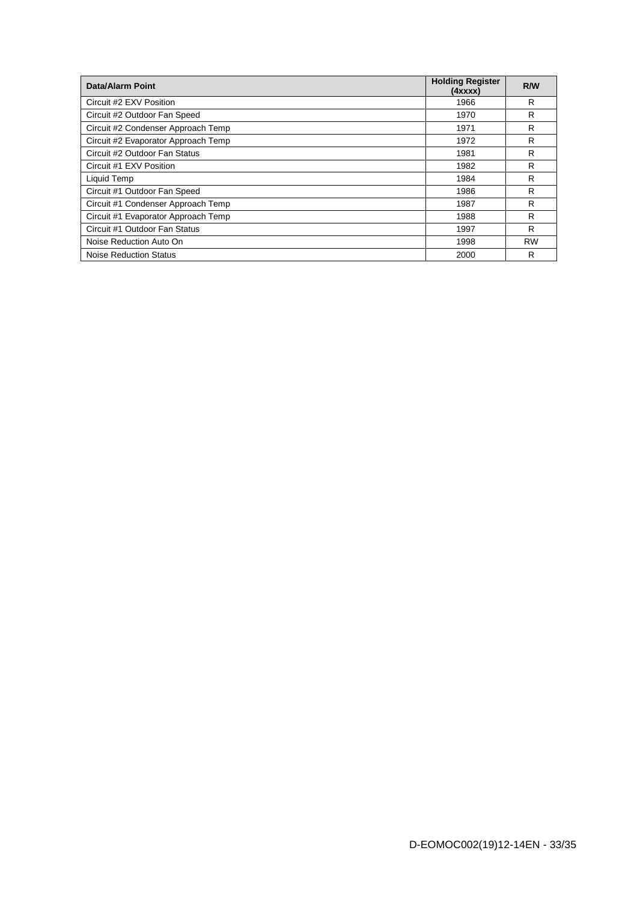| Data/Alarm Point                    | <b>Holding Register</b><br>(4xxxx) | R/W       |
|-------------------------------------|------------------------------------|-----------|
| Circuit #2 EXV Position             | 1966                               | R         |
| Circuit #2 Outdoor Fan Speed        | 1970                               | R         |
| Circuit #2 Condenser Approach Temp  | 1971                               | R         |
| Circuit #2 Evaporator Approach Temp | 1972                               | R         |
| Circuit #2 Outdoor Fan Status       | 1981                               | R         |
| Circuit #1 EXV Position             | 1982                               | R.        |
| Liquid Temp                         | 1984                               | R         |
| Circuit #1 Outdoor Fan Speed        | 1986                               | R.        |
| Circuit #1 Condenser Approach Temp  | 1987                               | R         |
| Circuit #1 Evaporator Approach Temp | 1988                               | R         |
| Circuit #1 Outdoor Fan Status       | 1997                               | R         |
| Noise Reduction Auto On             | 1998                               | <b>RW</b> |
| Noise Reduction Status              | 2000                               | R         |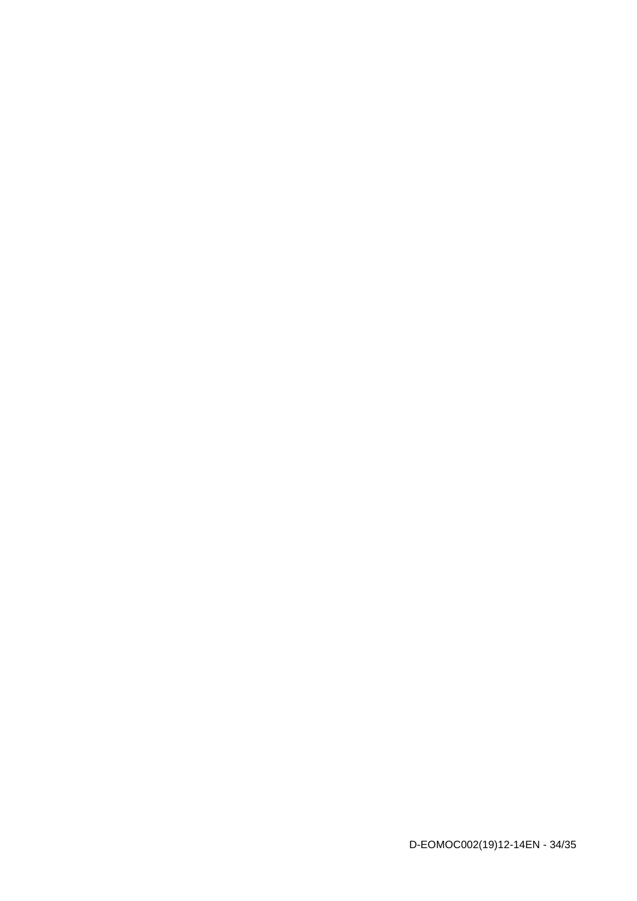D-EOMOC002(19)12-14EN - 34/35